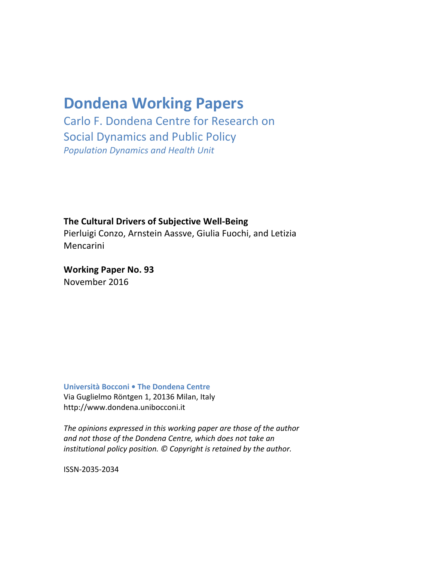# **Dondena Working Papers**

Carlo F. Dondena Centre for Research on Social Dynamics and Public Policy *Population Dynamics and Health Unit*

**The Cultural Drivers of Subjective Well-Being** 

Pierluigi Conzo, Arnstein Aassve, Giulia Fuochi, and Letizia **Mencarini** 

**Working Paper No. 93** November 2016

**Università Bocconi • The Dondena Centre** Via Guglielmo Röntgen 1, 20136 Milan, Italy http://www.dondena.unibocconi.it

The opinions expressed in this working paper are those of the author *and not those of the Dondena Centre, which does not take an institutional policy position.* © Copyright is retained by the author.

ISSN-2035-2034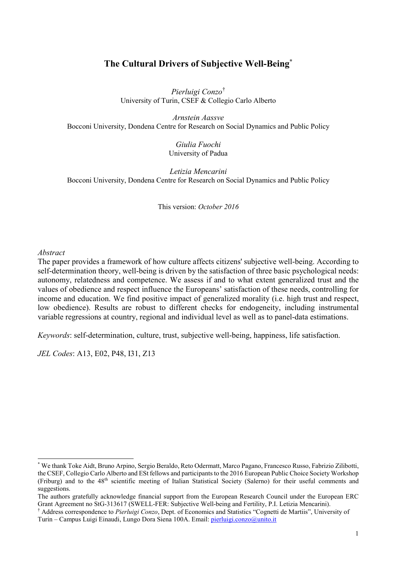## **The Cultural Drivers of Subjective Well-Being\***

*Pierluigi Conzo*[†](#page-1-0) University of Turin, CSEF & Collegio Carlo Alberto

*Arnstein Aassve* Bocconi University, Dondena Centre for Research on Social Dynamics and Public Policy

> *Giulia Fuochi* University of Padua

*Letizia Mencarini* Bocconi University, Dondena Centre for Research on Social Dynamics and Public Policy

This version: *October 2016*

#### *Abstract*

The paper provides a framework of how culture affects citizens' subjective well-being. According to self-determination theory, well-being is driven by the satisfaction of three basic psychological needs: autonomy, relatedness and competence. We assess if and to what extent generalized trust and the values of obedience and respect influence the Europeans' satisfaction of these needs, controlling for income and education. We find positive impact of generalized morality (i.e. high trust and respect, low obedience). Results are robust to different checks for endogeneity, including instrumental variable regressions at country, regional and individual level as well as to panel-data estimations.

*Keywords*: self-determination, culture, trust, subjective well-being, happiness, life satisfaction.

*JEL Codes*: A13, E02, P48, I31, Z13

<span id="page-1-0"></span> <sup>\*</sup> We thank Toke Aidt, Bruno Arpino, Sergio Beraldo, Reto Odermatt, Marco Pagano, Francesco Russo, Fabrizio Zilibotti, the CSEF, Collegio Carlo Alberto and ESt fellows and participants to the 2016 European Public Choice Society Workshop (Friburg) and to the 48th scientific meeting of Italian Statistical Society (Salerno) for their useful comments and suggestions.

The authors gratefully acknowledge financial support from the European Research Council under the European ERC Grant Agreement no StG-313617 (SWELL-FER: Subjective Well-being and Fertility, P.I. Letizia Mencarini).

<sup>†</sup> Address correspondence to *Pierluigi Conzo*, Dept. of Economics and Statistics "Cognetti de Martiis", University of Turin – Campus Luigi Einaudi, Lungo Dora Siena 100A. Email[: pierluigi.conzo@unito.it](mailto:pierluigi.conzo@unito.it)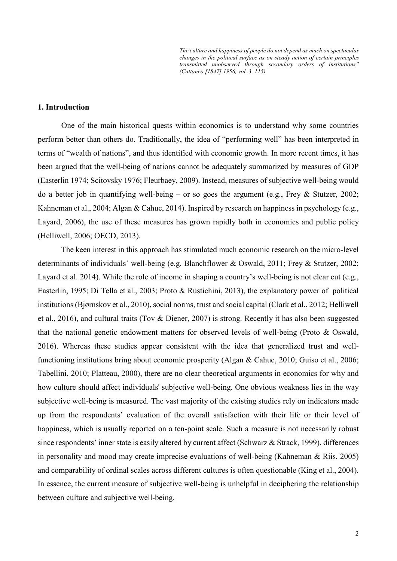*The culture and happiness of people do not depend as much on spectacular changes in the political surface as on steady action of certain principles transmitted unobserved through secondary orders of institutions" (Cattaneo [1847] 1956, vol. 3, 115)*

#### **1. Introduction**

One of the main historical quests within economics is to understand why some countries perform better than others do. Traditionally, the idea of "performing well" has been interpreted in terms of "wealth of nations", and thus identified with economic growth. In more recent times, it has been argued that the well-being of nations cannot be adequately summarized by measures of GDP (Easterlin 1974; Scitovsky 1976; Fleurbaey, 2009). Instead, measures of subjective well-being would do a better job in quantifying well-being – or so goes the argument (e.g., Frey & Stutzer, 2002; Kahneman et al., 2004; Algan & Cahuc, 2014). Inspired by research on happiness in psychology (e.g., Layard, 2006), the use of these measures has grown rapidly both in economics and public policy (Helliwell, 2006; OECD, 2013).

The keen interest in this approach has stimulated much economic research on the micro-level determinants of individuals' well-being (e.g. Blanchflower & Oswald, 2011; Frey & Stutzer, 2002; Layard et al. 2014). While the role of income in shaping a country's well-being is not clear cut (e.g., Easterlin, 1995; Di Tella et al., 2003; Proto & Rustichini, 2013), the explanatory power of political institutions (Bjørnskov et al., 2010), social norms, trust and social capital (Clark et al., 2012; Helliwell et al., 2016), and cultural traits (Tov & Diener, 2007) is strong. Recently it has also been suggested that the national genetic endowment matters for observed levels of well-being (Proto & Oswald, 2016). Whereas these studies appear consistent with the idea that generalized trust and wellfunctioning institutions bring about economic prosperity (Algan & Cahuc, 2010; Guiso et al., 2006; Tabellini, 2010; Platteau, 2000), there are no clear theoretical arguments in economics for why and how culture should affect individuals' subjective well-being. One obvious weakness lies in the way subjective well-being is measured. The vast majority of the existing studies rely on indicators made up from the respondents' evaluation of the overall satisfaction with their life or their level of happiness, which is usually reported on a ten-point scale. Such a measure is not necessarily robust since respondents' inner state is easily altered by current affect (Schwarz & Strack, 1999), differences in personality and mood may create imprecise evaluations of well-being (Kahneman & Riis, 2005) and comparability of ordinal scales across different cultures is often questionable (King et al., 2004). In essence, the current measure of subjective well-being is unhelpful in deciphering the relationship between culture and subjective well-being.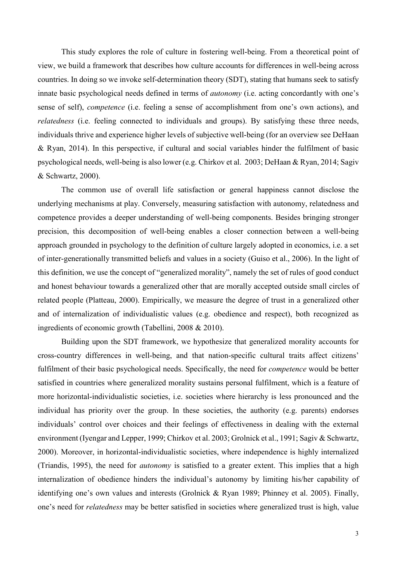This study explores the role of culture in fostering well-being. From a theoretical point of view, we build a framework that describes how culture accounts for differences in well-being across countries. In doing so we invoke self-determination theory (SDT), stating that humans seek to satisfy innate basic psychological needs defined in terms of *autonomy* (i.e. acting concordantly with one's sense of self), *competence* (i.e. feeling a sense of accomplishment from one's own actions), and *relatedness* (i.e. feeling connected to individuals and groups). By satisfying these three needs, individuals thrive and experience higher levels of subjective well-being (for an overview see DeHaan & Ryan, 2014). In this perspective, if cultural and social variables hinder the fulfilment of basic psychological needs, well-being is also lower (e.g. Chirkov et al. 2003; DeHaan & Ryan, 2014; Sagiv & Schwartz, 2000).

The common use of overall life satisfaction or general happiness cannot disclose the underlying mechanisms at play. Conversely, measuring satisfaction with autonomy, relatedness and competence provides a deeper understanding of well-being components. Besides bringing stronger precision, this decomposition of well-being enables a closer connection between a well-being approach grounded in psychology to the definition of culture largely adopted in economics, i.e. a set of inter-generationally transmitted beliefs and values in a society (Guiso et al., 2006). In the light of this definition, we use the concept of "generalized morality", namely the set of rules of good conduct and honest behaviour towards a generalized other that are morally accepted outside small circles of related people (Platteau, 2000). Empirically, we measure the degree of trust in a generalized other and of internalization of individualistic values (e.g. obedience and respect), both recognized as ingredients of economic growth (Tabellini, 2008 & 2010).

Building upon the SDT framework, we hypothesize that generalized morality accounts for cross-country differences in well-being, and that nation-specific cultural traits affect citizens' fulfilment of their basic psychological needs. Specifically, the need for *competence* would be better satisfied in countries where generalized morality sustains personal fulfilment, which is a feature of more horizontal-individualistic societies, i.e. societies where hierarchy is less pronounced and the individual has priority over the group. In these societies, the authority (e.g. parents) endorses individuals' control over choices and their feelings of effectiveness in dealing with the external environment (Iyengar and Lepper, 1999; Chirkov et al. 2003; Grolnick et al., 1991; Sagiv & Schwartz, 2000). Moreover, in horizontal-individualistic societies, where independence is highly internalized (Triandis, 1995), the need for *autonomy* is satisfied to a greater extent. This implies that a high internalization of obedience hinders the individual's autonomy by limiting his/her capability of identifying one's own values and interests (Grolnick & Ryan 1989; Phinney et al. 2005). Finally, one's need for *relatedness* may be better satisfied in societies where generalized trust is high, value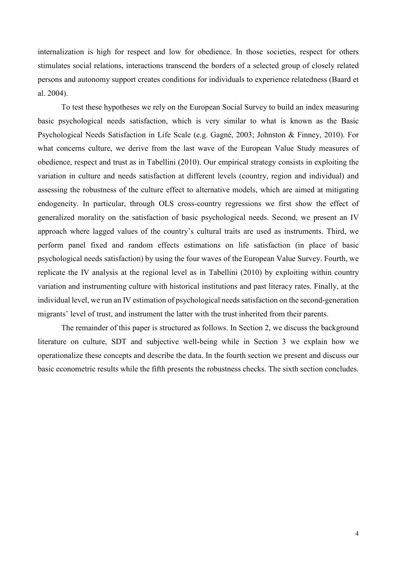internalization is high for respect and low for obedience. In those societies, respect for others stimulates social relations, interactions transcend the borders of a selected group of closely related persons and autonomy support creates conditions for individuals to experience relatedness (Baard et al. 2004).

To test these hypotheses we rely on the European Social Survey to build an index measuring basic psychological needs satisfaction, which is very similar to what is known as the Basic Psychological Needs Satisfaction in Life Scale (e.g. Gagné, 2003; Johnston & Finney, 2010). For what concerns culture, we derive from the last wave of the European Value Study measures of obedience, respect and trust as in Tabellini (2010). Our empirical strategy consists in exploiting the variation in culture and needs satisfaction at different levels (country, region and individual) and assessing the robustness of the culture effect to alternative models, which are aimed at mitigating endogeneity. In particular, through OLS cross-country regressions we first show the effect of generalized morality on the satisfaction of basic psychological needs. Second, we present an IV approach where lagged values of the country's cultural traits are used as instruments. Third, we perform panel fixed and random effects estimations on life satisfaction (in place of basic psychological needs satisfaction) by using the four waves of the European Value Survey. Fourth, we replicate the IV analysis at the regional level as in Tabellini (2010) by exploiting within country variation and instrumenting culture with historical institutions and past literacy rates. Finally, at the individual level, we run an IV estimation of psychological needs satisfaction on the second-generation migrants' level of trust, and instrument the latter with the trust inherited from their parents.

The remainder of this paper is structured as follows. In Section 2, we discuss the background literature on culture, SDT and subjective well-being while in Section 3 we explain how we operationalize these concepts and describe the data. In the fourth section we present and discuss our basic econometric results while the fifth presents the robustness checks. The sixth section concludes.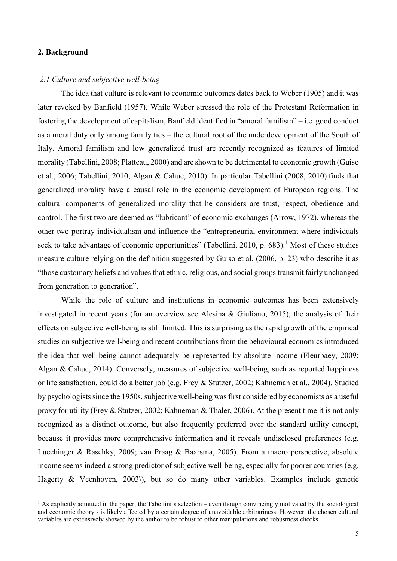#### **2. Background**

#### *2.1 Culture and subjective well-being*

The idea that culture is relevant to economic outcomes dates back to Weber (1905) and it was later revoked by Banfield (1957). While Weber stressed the role of the Protestant Reformation in fostering the development of capitalism, Banfield identified in "amoral familism" – i.e. good conduct as a moral duty only among family ties – the cultural root of the underdevelopment of the South of Italy. Amoral familism and low generalized trust are recently recognized as features of limited morality (Tabellini, 2008; Platteau, 2000) and are shown to be detrimental to economic growth (Guiso et al., 2006; Tabellini, 2010; Algan & Cahuc, 2010). In particular Tabellini (2008, 2010) finds that generalized morality have a causal role in the economic development of European regions. The cultural components of generalized morality that he considers are trust, respect, obedience and control. The first two are deemed as "lubricant" of economic exchanges (Arrow, 1972), whereas the other two portray individualism and influence the "entrepreneurial environment where individuals seek to take advantage of economic opportunities" (Tabellini, 20[1](#page-5-0)0, p. 683).<sup>1</sup> Most of these studies measure culture relying on the definition suggested by Guiso et al. (2006, p. 23) who describe it as "those customary beliefs and values that ethnic, religious, and social groups transmit fairly unchanged from generation to generation".

While the role of culture and institutions in economic outcomes has been extensively investigated in recent years (for an overview see Alesina & Giuliano, 2015), the analysis of their effects on subjective well-being is still limited. This is surprising as the rapid growth of the empirical studies on subjective well-being and recent contributions from the behavioural economics introduced the idea that well-being cannot adequately be represented by absolute income (Fleurbaey, 2009; Algan & Cahuc, 2014). Conversely, measures of subjective well-being, such as reported happiness or life satisfaction, could do a better job (e.g. Frey & Stutzer, 2002; Kahneman et al., 2004). Studied by psychologists since the 1950s, subjective well-being was first considered by economists as a useful proxy for utility (Frey & Stutzer, 2002; Kahneman & Thaler, 2006). At the present time it is not only recognized as a distinct outcome, but also frequently preferred over the standard utility concept, because it provides more comprehensive information and it reveals undisclosed preferences (e.g. Luechinger & Raschky, 2009; van Praag & Baarsma, 2005). From a macro perspective, absolute income seems indeed a strong predictor of subjective well-being, especially for poorer countries (e.g. Hagerty & Veenhoven, 2003), but so do many other variables. Examples include genetic

<span id="page-5-0"></span> $<sup>1</sup>$  As explicitly admitted in the paper, the Tabellini's selection – even though convincingly motivated by the sociological</sup> and economic theory - is likely affected by a certain degree of unavoidable arbitrariness. However, the chosen cultural variables are extensively showed by the author to be robust to other manipulations and robustness checks.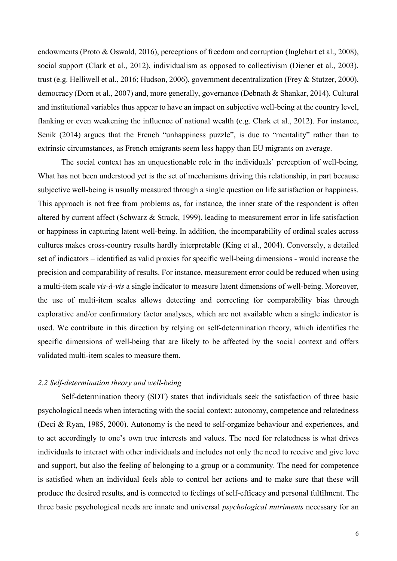endowments (Proto & Oswald, 2016), perceptions of freedom and corruption (Inglehart et al., 2008), social support (Clark et al., 2012), individualism as opposed to collectivism (Diener et al., 2003), trust (e.g. Helliwell et al., 2016; Hudson, 2006), government decentralization (Frey & Stutzer, 2000), democracy (Dorn et al., 2007) and, more generally, governance (Debnath & Shankar, 2014). Cultural and institutional variables thus appear to have an impact on subjective well-being at the country level, flanking or even weakening the influence of national wealth (e.g. Clark et al., 2012). For instance, Senik (2014) argues that the French "unhappiness puzzle", is due to "mentality" rather than to extrinsic circumstances, as French emigrants seem less happy than EU migrants on average.

The social context has an unquestionable role in the individuals' perception of well-being. What has not been understood yet is the set of mechanisms driving this relationship, in part because subjective well-being is usually measured through a single question on life satisfaction or happiness. This approach is not free from problems as, for instance, the inner state of the respondent is often altered by current affect (Schwarz & Strack, 1999), leading to measurement error in life satisfaction or happiness in capturing latent well-being. In addition, the incomparability of ordinal scales across cultures makes cross-country results hardly interpretable (King et al., 2004). Conversely, a detailed set of indicators – identified as valid proxies for specific well-being dimensions - would increase the precision and comparability of results. For instance, measurement error could be reduced when using a multi-item scale *vis-à-vis* a single indicator to measure latent dimensions of well-being. Moreover, the use of multi-item scales allows detecting and correcting for comparability bias through explorative and/or confirmatory factor analyses, which are not available when a single indicator is used. We contribute in this direction by relying on self-determination theory, which identifies the specific dimensions of well-being that are likely to be affected by the social context and offers validated multi-item scales to measure them.

#### *2.2 Self-determination theory and well-being*

Self-determination theory (SDT) states that individuals seek the satisfaction of three basic psychological needs when interacting with the social context: autonomy, competence and relatedness (Deci & Ryan, 1985, 2000). Autonomy is the need to self-organize behaviour and experiences, and to act accordingly to one's own true interests and values. The need for relatedness is what drives individuals to interact with other individuals and includes not only the need to receive and give love and support, but also the feeling of belonging to a group or a community. The need for competence is satisfied when an individual feels able to control her actions and to make sure that these will produce the desired results, and is connected to feelings of self-efficacy and personal fulfilment. The three basic psychological needs are innate and universal *psychological nutriments* necessary for an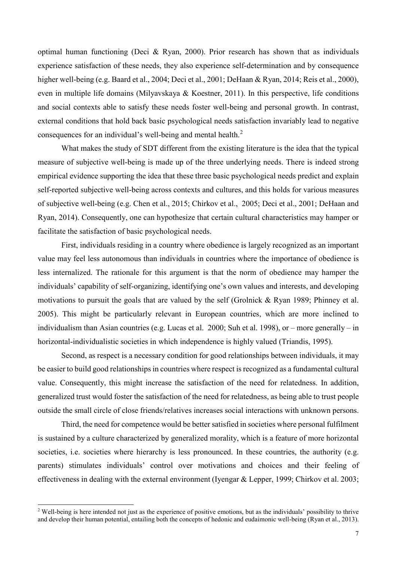optimal human functioning (Deci & Ryan, 2000). Prior research has shown that as individuals experience satisfaction of these needs, they also experience self-determination and by consequence higher well-being (e.g. Baard et al., 2004; Deci et al., 2001; DeHaan & Ryan, 2014; Reis et al., 2000), even in multiple life domains (Milyavskaya & Koestner, 2011). In this perspective, life conditions and social contexts able to satisfy these needs foster well-being and personal growth. In contrast, external conditions that hold back basic psychological needs satisfaction invariably lead to negative consequences for an individual's well-being and mental health. $<sup>2</sup>$  $<sup>2</sup>$  $<sup>2</sup>$ </sup>

What makes the study of SDT different from the existing literature is the idea that the typical measure of subjective well-being is made up of the three underlying needs. There is indeed strong empirical evidence supporting the idea that these three basic psychological needs predict and explain self-reported subjective well-being across contexts and cultures, and this holds for various measures of subjective well-being (e.g. Chen et al., 2015; Chirkov et al., 2005; Deci et al., 2001; DeHaan and Ryan, 2014). Consequently, one can hypothesize that certain cultural characteristics may hamper or facilitate the satisfaction of basic psychological needs.

First, individuals residing in a country where obedience is largely recognized as an important value may feel less autonomous than individuals in countries where the importance of obedience is less internalized. The rationale for this argument is that the norm of obedience may hamper the individuals' capability of self-organizing, identifying one's own values and interests, and developing motivations to pursuit the goals that are valued by the self (Grolnick & Ryan 1989; Phinney et al. 2005). This might be particularly relevant in European countries, which are more inclined to individualism than Asian countries (e.g. Lucas et al. 2000; Suh et al. 1998), or – more generally – in horizontal-individualistic societies in which independence is highly valued (Triandis, 1995).

Second, as respect is a necessary condition for good relationships between individuals, it may be easier to build good relationships in countries where respect is recognized as a fundamental cultural value. Consequently, this might increase the satisfaction of the need for relatedness. In addition, generalized trust would foster the satisfaction of the need for relatedness, as being able to trust people outside the small circle of close friends/relatives increases social interactions with unknown persons.

Third, the need for competence would be better satisfied in societies where personal fulfilment is sustained by a culture characterized by generalized morality, which is a feature of more horizontal societies, i.e. societies where hierarchy is less pronounced. In these countries, the authority (e.g. parents) stimulates individuals' control over motivations and choices and their feeling of effectiveness in dealing with the external environment (Iyengar & Lepper, 1999; Chirkov et al. 2003;

<span id="page-7-0"></span><sup>&</sup>lt;sup>2</sup> Well-being is here intended not just as the experience of positive emotions, but as the individuals' possibility to thrive and develop their human potential, entailing both the concepts of hedonic and eudaimonic well-being (Ryan et al., 2013).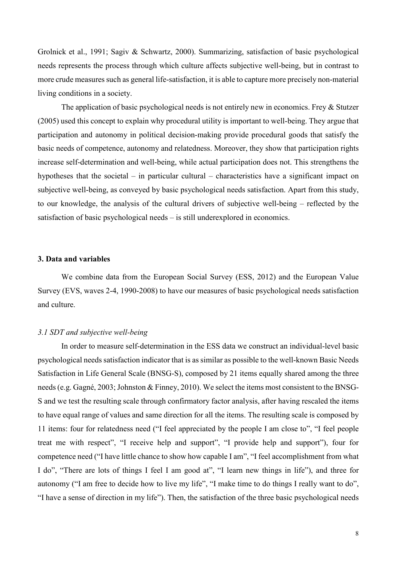Grolnick et al., 1991; Sagiv & Schwartz, 2000). Summarizing, satisfaction of basic psychological needs represents the process through which culture affects subjective well-being, but in contrast to more crude measures such as general life-satisfaction, it is able to capture more precisely non-material living conditions in a society.

The application of basic psychological needs is not entirely new in economics. Frey & Stutzer (2005) used this concept to explain why procedural utility is important to well-being. They argue that participation and autonomy in political decision-making provide procedural goods that satisfy the basic needs of competence, autonomy and relatedness. Moreover, they show that participation rights increase self-determination and well-being, while actual participation does not. This strengthens the hypotheses that the societal – in particular cultural – characteristics have a significant impact on subjective well-being, as conveyed by basic psychological needs satisfaction. Apart from this study, to our knowledge, the analysis of the cultural drivers of subjective well-being – reflected by the satisfaction of basic psychological needs – is still underexplored in economics.

#### **3. Data and variables**

We combine data from the European Social Survey (ESS, 2012) and the European Value Survey (EVS, waves 2-4, 1990-2008) to have our measures of basic psychological needs satisfaction and culture.

#### *3.1 SDT and subjective well-being*

In order to measure self-determination in the ESS data we construct an individual-level basic psychological needs satisfaction indicator that is as similar as possible to the well-known Basic Needs Satisfaction in Life General Scale (BNSG-S), composed by 21 items equally shared among the three needs(e.g. Gagné, 2003; Johnston & Finney, 2010). We select the items most consistent to the BNSG-S and we test the resulting scale through confirmatory factor analysis, after having rescaled the items to have equal range of values and same direction for all the items. The resulting scale is composed by 11 items: four for relatedness need ("I feel appreciated by the people I am close to", "I feel people treat me with respect", "I receive help and support", "I provide help and support"), four for competence need ("I have little chance to show how capable I am", "I feel accomplishment from what I do", "There are lots of things I feel I am good at", "I learn new things in life"), and three for autonomy ("I am free to decide how to live my life", "I make time to do things I really want to do", "I have a sense of direction in my life"). Then, the satisfaction of the three basic psychological needs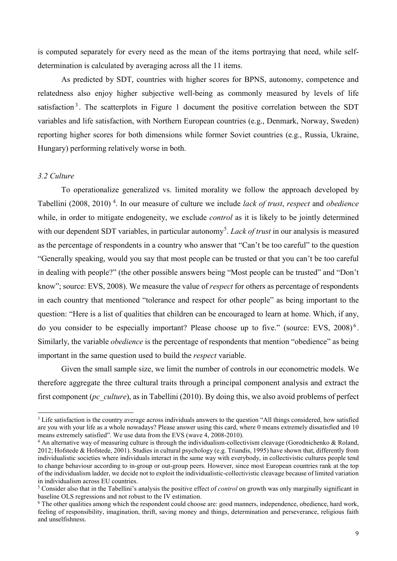is computed separately for every need as the mean of the items portraying that need, while selfdetermination is calculated by averaging across all the 11 items.

As predicted by SDT, countries with higher scores for BPNS, autonomy, competence and relatedness also enjoy higher subjective well-being as commonly measured by levels of life satisfaction<sup>[3](#page-9-0)</sup>. The scatterplots in Figure 1 document the positive correlation between the SDT variables and life satisfaction, with Northern European countries (e.g., Denmark, Norway, Sweden) reporting higher scores for both dimensions while former Soviet countries (e.g., Russia, Ukraine, Hungary) performing relatively worse in both.

#### *3.2 Culture*

To operationalize generalized vs. limited morality we follow the approach developed by Tabellini (2008, 2010) [4](#page-9-1) . In our measure of culture we include *lack of trust*, *respect* and *obedience* while, in order to mitigate endogeneity, we exclude *control* as it is likely to be jointly determined with our dependent SDT variables, in particular autonomy<sup>[5](#page-9-2)</sup>. Lack of trust in our analysis is measured as the percentage of respondents in a country who answer that "Can't be too careful" to the question "Generally speaking, would you say that most people can be trusted or that you can't be too careful in dealing with people?" (the other possible answers being "Most people can be trusted" and "Don't know"; source: EVS, 2008). We measure the value of *respect* for others as percentage of respondents in each country that mentioned "tolerance and respect for other people" as being important to the question: "Here is a list of qualities that children can be encouraged to learn at home. Which, if any, do you consider to be especially important? Please choose up to five." (source: EVS, 2008)<sup>[6](#page-9-3)</sup>. Similarly, the variable *obedience* is the percentage of respondents that mention "obedience" as being important in the same question used to build the *respect* variable.

Given the small sample size, we limit the number of controls in our econometric models. We therefore aggregate the three cultural traits through a principal component analysis and extract the first component (*pc\_culture*), as in Tabellini (2010). By doing this, we also avoid problems of perfect

<span id="page-9-0"></span><sup>&</sup>lt;sup>3</sup> Life satisfaction is the country average across individuals answers to the question "All things considered, how satisfied are you with your life as a whole nowadays? Please answer using this card, where 0 means extremely dissatisfied and 10 means extremely satisfied". We use data from the EVS (wave 4, 2008-2010).

<span id="page-9-1"></span><sup>4</sup> An alternative way of measuring culture is through the individualism-collectivism cleavage (Gorodnichenko & Roland, 2012; Hofstede & Hofstede, 2001). Studies in cultural psychology (e.g. Triandis, 1995) have shown that, differently from individualistic societies where individuals interact in the same way with everybody, in collectivistic cultures people tend to change behaviour according to in-group or out-group peers. However, since most European countries rank at the top of the individualism ladder, we decide not to exploit the individualistic-collectivistic cleavage because of limited variation in individualism across EU countries. 5 Consider also that in the Tabellini's analysis the positive effect of *control* on growth was only marginally significant in

<span id="page-9-2"></span>baseline OLS regressions and not robust to the IV estimation.

<span id="page-9-3"></span><sup>6</sup> The other qualities among which the respondent could choose are: good manners, independence, obedience, hard work, feeling of responsibility, imagination, thrift, saving money and things, determination and perseverance, religious faith and unselfishness.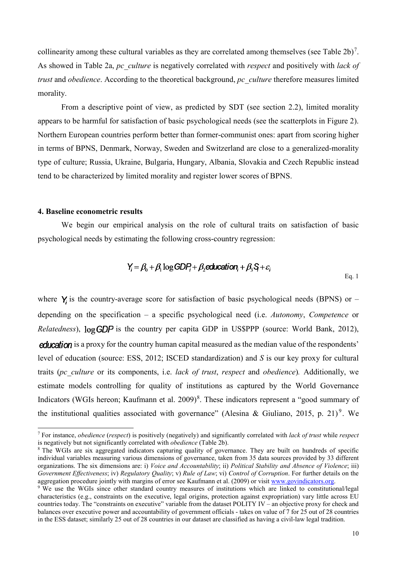collinearity among these cultural variables as they are correlated among themselves (see Table  $2b$ )<sup>[7](#page-10-0)</sup>. As showed in Table 2a, *pc\_culture* is negatively correlated with *respect* and positively with *lack of trust* and *obedience*. According to the theoretical background, *pc\_culture* therefore measures limited morality.

From a descriptive point of view, as predicted by SDT (see section 2.2), limited morality appears to be harmful for satisfaction of basic psychological needs (see the scatterplots in Figure 2). Northern European countries perform better than former-communist ones: apart from scoring higher in terms of BPNS, Denmark, Norway, Sweden and Switzerland are close to a generalized-morality type of culture; Russia, Ukraine, Bulgaria, Hungary, Albania, Slovakia and Czech Republic instead tend to be characterized by limited morality and register lower scores of BPNS.

#### **4. Baseline econometric results**

We begin our empirical analysis on the role of cultural traits on satisfaction of basic psychological needs by estimating the following cross-country regression:

$$
Y_i = \beta_0 + \beta_1 \log GDP_i + \beta_2 \text{extension}_i + \beta_3 \varsigma + \varepsilon_i
$$

where  $\bf{Y}$  is the country-average score for satisfaction of basic psychological needs (BPNS) or – depending on the specification – a specific psychological need (i.e. *Autonomy*, *Competence* or *Relatedness*),  $log GDP$  is the country per capita GDP in US\$PPP (source: World Bank, 2012), **education** is a proxy for the country human capital measured as the median value of the respondents' level of education (source: ESS, 2012; ISCED standardization) and *S* is our key proxy for cultural traits (*pc\_culture* or its components, i.e. *lack of trust*, *respect* and *obedience*)*.* Additionally, we estimate models controlling for quality of institutions as captured by the World Governance Indicators (WGIs hereon; Kaufmann et al. 2009)<sup>[8](#page-10-1)</sup>. These indicators represent a "good summary of the institutional qualities associated with governance" (Alesina & Giuliano, 2015, p. 21)<sup>[9](#page-10-2)</sup>. We

Eq. 1

<span id="page-10-0"></span> <sup>7</sup> For instance, *obedience* (*respect*) is positively (negatively) and significantly correlated with *lack of trust* while *respect* is negatively but not significantly correlated with *obedience* (Table 2b).

<span id="page-10-1"></span><sup>&</sup>lt;sup>8</sup> The WGIs are six aggregated indicators capturing quality of governance. They are built on hundreds of specific individual variables measuring various dimensions of governance, taken from 35 data sources provided by 33 different organizations. The six dimensions are: i) *Voice and Accountability*; ii) *Political Stability and Absence of Violence*; iii) *Government Effectiveness*; iv) *Regulatory Quality*; v) *Rule of Law*; vi) *Control of Corruption*. For further details on the aggregation procedure jointly with margins of error see Kaufmann et al. (2009) or visit [www.govindicators.org.](http://www.govindicators.org/)

<span id="page-10-2"></span><sup>9</sup> We use the WGIs since other standard country measures of institutions which are linked to constitutional/legal characteristics (e.g., constraints on the executive, legal origins, protection against expropriation) vary little across EU countries today. The "constraints on executive" variable from the dataset POLITY IV – an objective proxy for check and balances over executive power and accountability of government officials - takes on value of 7 for 25 out of 28 countries in the ESS dataset; similarly 25 out of 28 countries in our dataset are classified as having a civil-law legal tradition.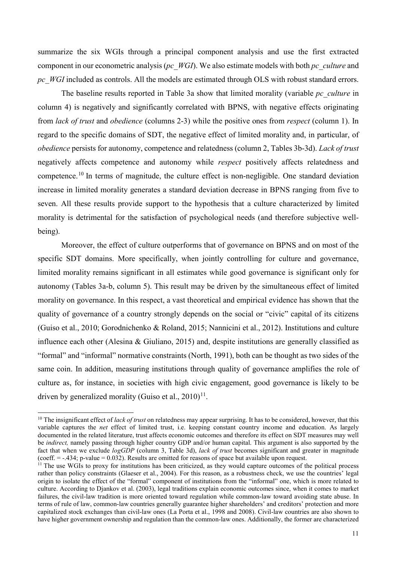summarize the six WGIs through a principal component analysis and use the first extracted component in our econometric analysis (*pc\_WGI*). We also estimate models with both *pc\_culture* and *pc\_WGI* included as controls. All the models are estimated through OLS with robust standard errors.

The baseline results reported in Table 3a show that limited morality (variable *pc\_culture* in column 4) is negatively and significantly correlated with BPNS, with negative effects originating from *lack of trust* and *obedience* (columns 2-3) while the positive ones from *respect* (column 1). In regard to the specific domains of SDT, the negative effect of limited morality and, in particular, of *obedience* persists for autonomy, competence and relatedness (column 2, Tables 3b-3d). *Lack of trust* negatively affects competence and autonomy while *respect* positively affects relatedness and competence.[10](#page-11-0) In terms of magnitude, the culture effect is non-negligible. One standard deviation increase in limited morality generates a standard deviation decrease in BPNS ranging from five to seven. All these results provide support to the hypothesis that a culture characterized by limited morality is detrimental for the satisfaction of psychological needs (and therefore subjective wellbeing).

Moreover, the effect of culture outperforms that of governance on BPNS and on most of the specific SDT domains. More specifically, when jointly controlling for culture and governance, limited morality remains significant in all estimates while good governance is significant only for autonomy (Tables 3a-b, column 5). This result may be driven by the simultaneous effect of limited morality on governance. In this respect, a vast theoretical and empirical evidence has shown that the quality of governance of a country strongly depends on the social or "civic" capital of its citizens (Guiso et al., 2010; Gorodnichenko & Roland, 2015; Nannicini et al., 2012). Institutions and culture influence each other (Alesina & Giuliano, 2015) and, despite institutions are generally classified as "formal" and "informal" normative constraints (North, 1991), both can be thought as two sides of the same coin. In addition, measuring institutions through quality of governance amplifies the role of culture as, for instance, in societies with high civic engagement, good governance is likely to be driven by generalized morality (Guiso et al.,  $2010$ )<sup>11</sup>.

<span id="page-11-0"></span><sup>&</sup>lt;sup>10</sup> The insignificant effect of *lack of trust* on relatedness may appear surprising. It has to be considered, however, that this variable captures the *net* effect of limited trust, i.e. keeping constant country income and education. As largely documented in the related literature, trust affects economic outcomes and therefore its effect on SDT measures may well be *indirect,* namely passing through higher country GDP and/or human capital. This argument is also supported by the fact that when we exclude *logGDP* (column 3, Table 3d), *lack of trust* becomes significant and greater in magnitude (coeff.  $=$  -.434; p-value  $= 0.032$ ). Results are omitted for reasons of space but available upon request.<br><sup>11</sup> The use WGIs to proxy for institutions has been criticized, as they would capture outcomes of the political

<span id="page-11-1"></span>rather than policy constraints (Glaeser et al., 2004). For this reason, as a robustness check, we use the countries' legal origin to isolate the effect of the "formal" component of institutions from the "informal" one, which is more related to culture. According to Djankov et al. (2003), legal traditions explain economic outcomes since, when it comes to market failures, the civil-law tradition is more oriented toward regulation while common-law toward avoiding state abuse. In terms of rule of law, common-law countries generally guarantee higher shareholders' and creditors' protection and more capitalized stock exchanges than civil-law ones (La Porta et al., 1998 and 2008). Civil-law countries are also shown to have higher government ownership and regulation than the common-law ones. Additionally, the former are characterized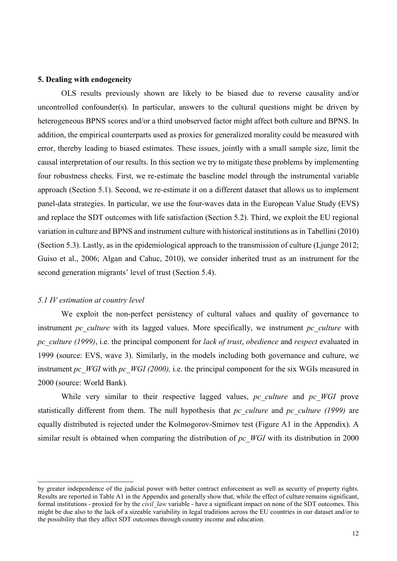#### **5. Dealing with endogeneity**

OLS results previously shown are likely to be biased due to reverse causality and/or uncontrolled confounder(s). In particular, answers to the cultural questions might be driven by heterogeneous BPNS scores and/or a third unobserved factor might affect both culture and BPNS. In addition, the empirical counterparts used as proxies for generalized morality could be measured with error, thereby leading to biased estimates. These issues, jointly with a small sample size, limit the causal interpretation of our results. In this section we try to mitigate these problems by implementing four robustness checks. First, we re-estimate the baseline model through the instrumental variable approach (Section 5.1). Second, we re-estimate it on a different dataset that allows us to implement panel-data strategies. In particular, we use the four-waves data in the European Value Study (EVS) and replace the SDT outcomes with life satisfaction (Section 5.2). Third, we exploit the EU regional variation in culture and BPNS and instrument culture with historical institutions as in Tabellini (2010) (Section 5.3). Lastly, as in the epidemiological approach to the transmission of culture (Ljunge 2012; Guiso et al., 2006; Algan and Cahuc, 2010), we consider inherited trust as an instrument for the second generation migrants' level of trust (Section 5.4).

#### *5.1 IV estimation at country level*

-

We exploit the non-perfect persistency of cultural values and quality of governance to instrument *pc* culture with its lagged values. More specifically, we instrument *pc* culture with *pc\_culture (1999)*, i.e. the principal component for *lack of trust*, *obedience* and *respect* evaluated in 1999 (source: EVS, wave 3). Similarly, in the models including both governance and culture, we instrument *pc\_WGI* with *pc\_WGI (2000)*, i.e. the principal component for the six WGIs measured in 2000 (source: World Bank).

While very similar to their respective lagged values, *pc* culture and *pc* WGI prove statistically different from them. The null hypothesis that *pc\_culture* and *pc\_culture (1999)* are equally distributed is rejected under the Kolmogorov-Smirnov test (Figure A1 in the Appendix). A similar result is obtained when comparing the distribution of *pc\_WGI* with its distribution in 2000

by greater independence of the judicial power with better contract enforcement as well as security of property rights. Results are reported in Table A1 in the Appendix and generally show that, while the effect of culture remains significant, formal institutions - proxied for by the *civil\_law* variable - have a significant impact on none of the SDT outcomes. This might be due also to the lack of a sizeable variability in legal traditions across the EU countries in our dataset and/or to the possibility that they affect SDT outcomes through country income and education.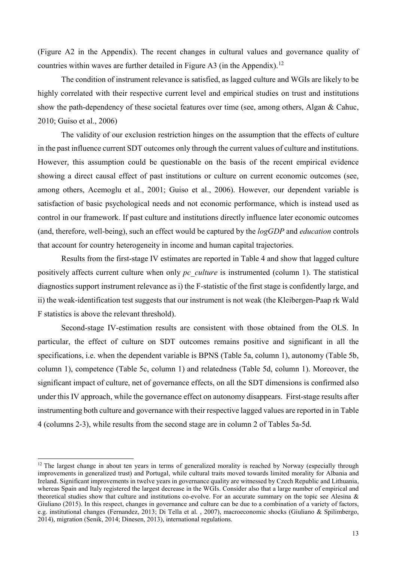(Figure A2 in the Appendix). The recent changes in cultural values and governance quality of countries within waves are further detailed in Figure A3 (in the Appendix).<sup>12</sup>

The condition of instrument relevance is satisfied, as lagged culture and WGIs are likely to be highly correlated with their respective current level and empirical studies on trust and institutions show the path-dependency of these societal features over time (see, among others, Algan & Cahuc, 2010; Guiso et al., 2006)

The validity of our exclusion restriction hinges on the assumption that the effects of culture in the past influence current SDT outcomes only through the current values of culture and institutions. However, this assumption could be questionable on the basis of the recent empirical evidence showing a direct causal effect of past institutions or culture on current economic outcomes (see, among others, Acemoglu et al., 2001; Guiso et al., 2006). However, our dependent variable is satisfaction of basic psychological needs and not economic performance, which is instead used as control in our framework. If past culture and institutions directly influence later economic outcomes (and, therefore, well-being), such an effect would be captured by the *logGDP* and *education* controls that account for country heterogeneity in income and human capital trajectories.

Results from the first-stage IV estimates are reported in Table 4 and show that lagged culture positively affects current culture when only *pc\_culture* is instrumented (column 1). The statistical diagnostics support instrument relevance as i) the F-statistic of the first stage is confidently large, and ii) the weak-identification test suggests that our instrument is not weak (the Kleibergen-Paap rk Wald F statistics is above the relevant threshold).

Second-stage IV-estimation results are consistent with those obtained from the OLS. In particular, the effect of culture on SDT outcomes remains positive and significant in all the specifications, i.e. when the dependent variable is BPNS (Table 5a, column 1), autonomy (Table 5b, column 1), competence (Table 5c, column 1) and relatedness (Table 5d, column 1). Moreover, the significant impact of culture, net of governance effects, on all the SDT dimensions is confirmed also under this IV approach, while the governance effect on autonomy disappears. First-stage results after instrumenting both culture and governance with their respective lagged values are reported in in Table 4 (columns 2-3), while results from the second stage are in column 2 of Tables 5a-5d.

<span id="page-13-0"></span><sup>&</sup>lt;sup>12</sup> The largest change in about ten years in terms of generalized morality is reached by Norway (especially through improvements in generalized trust) and Portugal, while cultural traits moved towards limited morality for Albania and Ireland. Significant improvements in twelve years in governance quality are witnessed by Czech Republic and Lithuania, whereas Spain and Italy registered the largest decrease in the WGIs. Consider also that a large number of empirical and theoretical studies show that culture and institutions co-evolve. For an accurate summary on the topic see Alesina & Giuliano (2015). In this respect, changes in governance and culture can be due to a combination of a variety of factors, e.g. institutional changes (Fernandez, 2013; Di Tella et al. , 2007), macroeconomic shocks (Giuliano & Spilimbergo, 2014), migration (Senik, 2014; Dinesen, 2013), international regulations.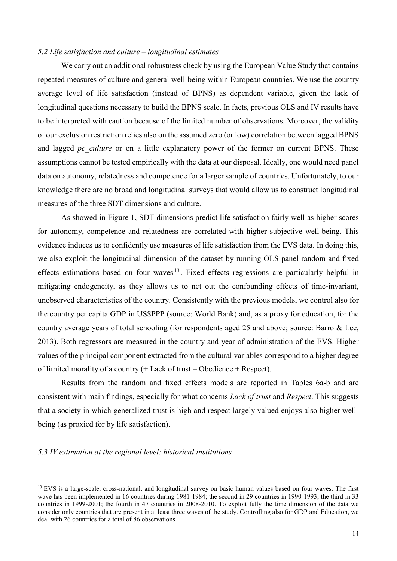#### *5.2 Life satisfaction and culture – longitudinal estimates*

We carry out an additional robustness check by using the European Value Study that contains repeated measures of culture and general well-being within European countries. We use the country average level of life satisfaction (instead of BPNS) as dependent variable, given the lack of longitudinal questions necessary to build the BPNS scale. In facts, previous OLS and IV results have to be interpreted with caution because of the limited number of observations. Moreover, the validity of our exclusion restriction relies also on the assumed zero (or low) correlation between lagged BPNS and lagged *pc* culture or on a little explanatory power of the former on current BPNS. These assumptions cannot be tested empirically with the data at our disposal. Ideally, one would need panel data on autonomy, relatedness and competence for a larger sample of countries. Unfortunately, to our knowledge there are no broad and longitudinal surveys that would allow us to construct longitudinal measures of the three SDT dimensions and culture.

As showed in Figure 1, SDT dimensions predict life satisfaction fairly well as higher scores for autonomy, competence and relatedness are correlated with higher subjective well-being. This evidence induces us to confidently use measures of life satisfaction from the EVS data. In doing this, we also exploit the longitudinal dimension of the dataset by running OLS panel random and fixed effects estimations based on four waves  $13$ . Fixed effects regressions are particularly helpful in mitigating endogeneity, as they allows us to net out the confounding effects of time-invariant, unobserved characteristics of the country. Consistently with the previous models, we control also for the country per capita GDP in US\$PPP (source: World Bank) and, as a proxy for education, for the country average years of total schooling (for respondents aged 25 and above; source: Barro & Lee, 2013). Both regressors are measured in the country and year of administration of the EVS. Higher values of the principal component extracted from the cultural variables correspond to a higher degree of limited morality of a country (+ Lack of trust – Obedience + Respect).

Results from the random and fixed effects models are reported in Tables 6a-b and are consistent with main findings, especially for what concerns *Lack of trust* and *Respect*. This suggests that a society in which generalized trust is high and respect largely valued enjoys also higher wellbeing (as proxied for by life satisfaction).

#### *5.3 IV estimation at the regional level: historical institutions*

<span id="page-14-0"></span><sup>&</sup>lt;sup>13</sup> EVS is a large-scale, cross-national, and longitudinal survey on basic human values based on four waves. The first wave has been implemented in 16 countries during 1981-1984; the second in 29 countries in 1990-1993; the third in 33 countries in 1999-2001; the fourth in 47 countries in 2008-2010. To exploit fully the time dimension of the data we consider only countries that are present in at least three waves of the study. Controlling also for GDP and Education, we deal with 26 countries for a total of 86 observations.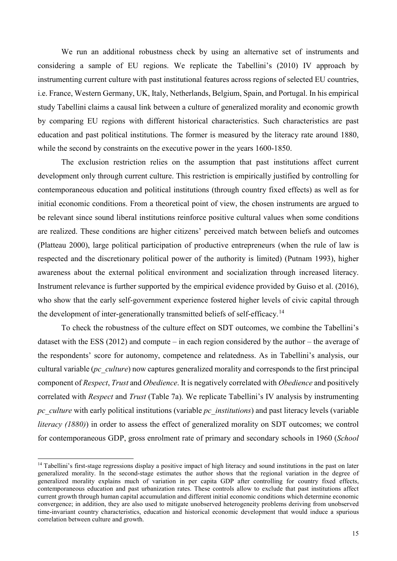We run an additional robustness check by using an alternative set of instruments and considering a sample of EU regions. We replicate the Tabellini's (2010) IV approach by instrumenting current culture with past institutional features across regions of selected EU countries, i.e. France, Western Germany, UK, Italy, Netherlands, Belgium, Spain, and Portugal. In his empirical study Tabellini claims a causal link between a culture of generalized morality and economic growth by comparing EU regions with different historical characteristics. Such characteristics are past education and past political institutions. The former is measured by the literacy rate around 1880, while the second by constraints on the executive power in the years 1600-1850.

The exclusion restriction relies on the assumption that past institutions affect current development only through current culture. This restriction is empirically justified by controlling for contemporaneous education and political institutions (through country fixed effects) as well as for initial economic conditions. From a theoretical point of view, the chosen instruments are argued to be relevant since sound liberal institutions reinforce positive cultural values when some conditions are realized. These conditions are higher citizens' perceived match between beliefs and outcomes (Platteau 2000), large political participation of productive entrepreneurs (when the rule of law is respected and the discretionary political power of the authority is limited) (Putnam 1993), higher awareness about the external political environment and socialization through increased literacy. Instrument relevance is further supported by the empirical evidence provided by Guiso et al. (2016), who show that the early self-government experience fostered higher levels of civic capital through the development of inter-generationally transmitted beliefs of self-efficacy.<sup>[14](#page-15-0)</sup>

To check the robustness of the culture effect on SDT outcomes, we combine the Tabellini's dataset with the ESS  $(2012)$  and compute – in each region considered by the author – the average of the respondents' score for autonomy, competence and relatedness. As in Tabellini's analysis, our cultural variable (*pc\_culture*) now captures generalized morality and corresponds to the first principal component of *Respect*, *Trust* and *Obedience*. It is negatively correlated with *Obedience* and positively correlated with *Respect* and *Trust* (Table 7a). We replicate Tabellini's IV analysis by instrumenting *pc\_culture* with early political institutions (variable *pc\_institutions*) and past literacy levels (variable *literacy (1880)*) in order to assess the effect of generalized morality on SDT outcomes; we control for contemporaneous GDP, gross enrolment rate of primary and secondary schools in 1960 (*School* 

<span id="page-15-0"></span><sup>&</sup>lt;sup>14</sup> Tabellini's first-stage regressions display a positive impact of high literacy and sound institutions in the past on later generalized morality. In the second-stage estimates the author shows that the regional variation in the degree of generalized morality explains much of variation in per capita GDP after controlling for country fixed effects, contemporaneous education and past urbanization rates. These controls allow to exclude that past institutions affect current growth through human capital accumulation and different initial economic conditions which determine economic convergence; in addition, they are also used to mitigate unobserved heterogeneity problems deriving from unobserved time-invariant country characteristics, education and historical economic development that would induce a spurious correlation between culture and growth.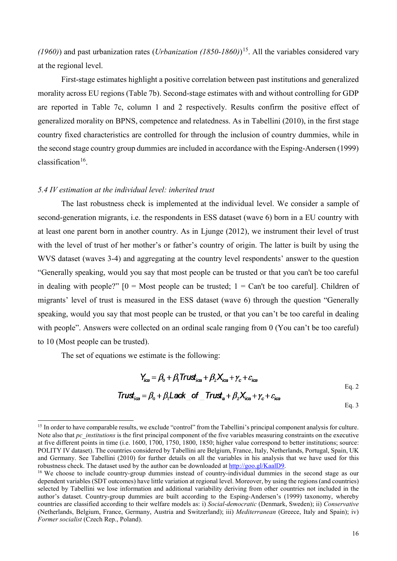*(1960)*) and past urbanization rates (*Urbanization (1850-1860)*)[15](#page-16-0). All the variables considered vary at the regional level.

First-stage estimates highlight a positive correlation between past institutions and generalized morality across EU regions (Table 7b). Second-stage estimates with and without controlling for GDP are reported in Table 7c, column 1 and 2 respectively. Results confirm the positive effect of generalized morality on BPNS, competence and relatedness. As in Tabellini (2010), in the first stage country fixed characteristics are controlled for through the inclusion of country dummies, while in the second stage country group dummies are included in accordance with the Esping-Andersen (1999) classification<sup>16</sup>.

#### *5.4 IV estimation at the individual level: inherited trust*

The last robustness check is implemented at the individual level. We consider a sample of second-generation migrants, i.e. the respondents in ESS dataset (wave 6) born in a EU country with at least one parent born in another country. As in Ljunge (2012), we instrument their level of trust with the level of trust of her mother's or father's country of origin. The latter is built by using the WVS dataset (waves 3-4) and aggregating at the country level respondents' answer to the question "Generally speaking, would you say that most people can be trusted or that you can't be too careful in dealing with people?"  $[0 = \text{Most people can be trusted}; 1 = \text{Can't be too careful}].$  Children of migrants' level of trust is measured in the ESS dataset (wave 6) through the question "Generally speaking, would you say that most people can be trusted, or that you can't be too careful in dealing with people". Answers were collected on an ordinal scale ranging from 0 (You can't be too careful) to 10 (Most people can be trusted).

The set of equations we estimate is the following:

$$
Y_{ice} = \beta_0 + \beta_1 \text{Trust}_{ice} + \beta_2 X_{ice} + \gamma_c + \varepsilon_{ice}
$$
  
\n
$$
\text{Trust}_{ice} = \beta_0 + \beta_1 \text{Lack}_0 \text{ of } \text{Trust}_a + \beta_2 X_{ice} + \gamma_c + \varepsilon_{ice}
$$

Eq. 3

<span id="page-16-0"></span><sup>&</sup>lt;sup>15</sup> In order to have comparable results, we exclude "control" from the Tabellini's principal component analysis for culture. Note also that *pc\_institutions* is the first principal component of the five variables measuring constraints on the executive at five different points in time (i.e. 1600, 1700, 1750, 1800, 1850; higher value correspond to better institutions; source: POLITY IV dataset). The countries considered by Tabellini are Belgium, France, Italy, Netherlands, Portugal, Spain, UK and Germany. See Tabellini (2010) for further details on all the variables in his analysis that we have used for this robustness check. The dataset used by the author can be downloaded a[t http://goo.gl/KaalD9.](http://goo.gl/KaalD9)<br><sup>16</sup> We choose to include country-group dummies instead of country-individual dummies in the second stage as our

<span id="page-16-1"></span>dependent variables (SDT outcomes) have little variation at regional level. Moreover, by using the regions (and countries) selected by Tabellini we lose information and additional variability deriving from other countries not included in the author's dataset. Country-group dummies are built according to the Esping-Andersen's (1999) taxonomy, whereby countries are classified according to their welfare models as: i) *Social-democratic* (Denmark, Sweden); ii) *Conservative* (Netherlands, Belgium, France, Germany, Austria and Switzerland); iii) *Mediterranean* (Greece, Italy and Spain); iv) *Former socialist* (Czech Rep., Poland).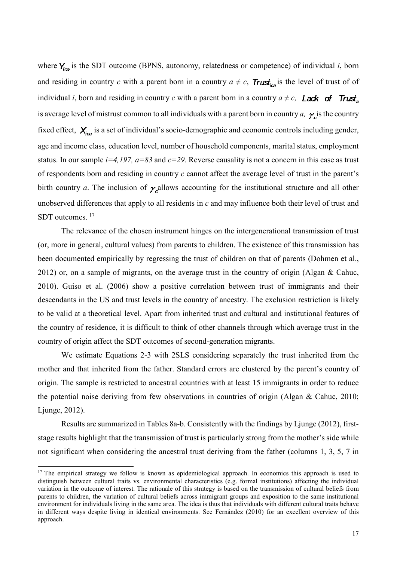where  $Y_{\text{ion}}$  is the SDT outcome (BPNS, autonomy, relatedness or competence) of individual *i*, born and residing in country *c* with a parent born in a country  $a \neq c$ , **Trust**<sub>ica</sub> is the level of trust of of individual *i*, born and residing in country *c* with a parent born in a country  $a \neq c$ , **Lack** of Trust<sub>a</sub> is average level of mistrust common to all individuals with a parent born in country *a*,  $\gamma$  is the country fixed effect,  $X_{i\alpha}$  is a set of individual's socio-demographic and economic controls including gender, age and income class, education level, number of household components, marital status, employment status. In our sample *i=4,197, a=83* and *c=29*. Reverse causality is not a concern in this case as trust of respondents born and residing in country *c* cannot affect the average level of trust in the parent's birth country *a*. The inclusion of  $\gamma$  allows accounting for the institutional structure and all other unobserved differences that apply to all residents in *c* and may influence both their level of trust and SDT outcomes.<sup>[17](#page-17-0)</sup>

The relevance of the chosen instrument hinges on the intergenerational transmission of trust (or, more in general, cultural values) from parents to children. The existence of this transmission has been documented empirically by regressing the trust of children on that of parents (Dohmen et al., 2012) or, on a sample of migrants, on the average trust in the country of origin (Algan & Cahuc, 2010). Guiso et al. (2006) show a positive correlation between trust of immigrants and their descendants in the US and trust levels in the country of ancestry. The exclusion restriction is likely to be valid at a theoretical level. Apart from inherited trust and cultural and institutional features of the country of residence, it is difficult to think of other channels through which average trust in the country of origin affect the SDT outcomes of second-generation migrants.

We estimate Equations 2-3 with 2SLS considering separately the trust inherited from the mother and that inherited from the father. Standard errors are clustered by the parent's country of origin. The sample is restricted to ancestral countries with at least 15 immigrants in order to reduce the potential noise deriving from few observations in countries of origin (Algan & Cahuc, 2010; Ljunge, 2012).

Results are summarized in Tables 8a-b. Consistently with the findings by Ljunge (2012), firststage results highlight that the transmission of trust is particularly strong from the mother's side while not significant when considering the ancestral trust deriving from the father (columns 1, 3, 5, 7 in

<span id="page-17-0"></span><sup>&</sup>lt;sup>17</sup> The empirical strategy we follow is known as epidemiological approach. In economics this approach is used to distinguish between cultural traits vs. environmental characteristics (e.g. formal institutions) affecting the individual variation in the outcome of interest. The rationale of this strategy is based on the transmission of cultural beliefs from parents to children, the variation of cultural beliefs across immigrant groups and exposition to the same institutional environment for individuals living in the same area. The idea is thus that individuals with different cultural traits behave in different ways despite living in identical environments. See Fernández (2010) for an excellent overview of this approach.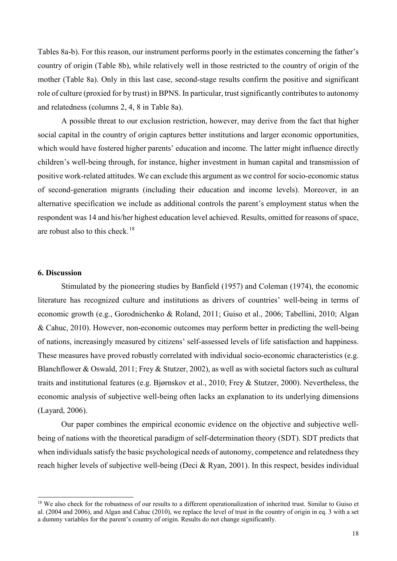Tables 8a-b). For this reason, our instrument performs poorly in the estimates concerning the father's country of origin (Table 8b), while relatively well in those restricted to the country of origin of the mother (Table 8a). Only in this last case, second-stage results confirm the positive and significant role of culture (proxied for by trust) in BPNS. In particular, trust significantly contributes to autonomy and relatedness (columns 2, 4, 8 in Table 8a).

A possible threat to our exclusion restriction, however, may derive from the fact that higher social capital in the country of origin captures better institutions and larger economic opportunities, which would have fostered higher parents' education and income. The latter might influence directly children's well-being through, for instance, higher investment in human capital and transmission of positive work-related attitudes. We can exclude this argument as we control for socio-economic status of second-generation migrants (including their education and income levels). Moreover, in an alternative specification we include as additional controls the parent's employment status when the respondent was 14 and his/her highest education level achieved. Results, omitted for reasons of space, are robust also to this check.<sup>18</sup>

#### **6. Discussion**

Stimulated by the pioneering studies by Banfield (1957) and Coleman (1974), the economic literature has recognized culture and institutions as drivers of countries' well-being in terms of economic growth (e.g., Gorodnichenko & Roland, 2011; Guiso et al., 2006; Tabellini, 2010; Algan & Cahuc, 2010). However, non-economic outcomes may perform better in predicting the well-being of nations, increasingly measured by citizens' self-assessed levels of life satisfaction and happiness. These measures have proved robustly correlated with individual socio-economic characteristics (e.g. Blanchflower & Oswald, 2011; Frey & Stutzer, 2002), as well as with societal factors such as cultural traits and institutional features (e.g. Bjørnskov et al., 2010; Frey & Stutzer, 2000). Nevertheless, the economic analysis of subjective well-being often lacks an explanation to its underlying dimensions (Layard, 2006).

Our paper combines the empirical economic evidence on the objective and subjective wellbeing of nations with the theoretical paradigm of self-determination theory (SDT). SDT predicts that when individuals satisfy the basic psychological needs of autonomy, competence and relatedness they reach higher levels of subjective well-being (Deci & Ryan, 2001). In this respect, besides individual

<span id="page-18-0"></span><sup>&</sup>lt;sup>18</sup> We also check for the robustness of our results to a different operationalization of inherited trust. Similar to Guiso et al. (2004 and 2006), and Algan and Cahuc (2010), we replace the level of trust in the country of origin in eq. 3 with a set a dummy variables for the parent's country of origin. Results do not change significantly.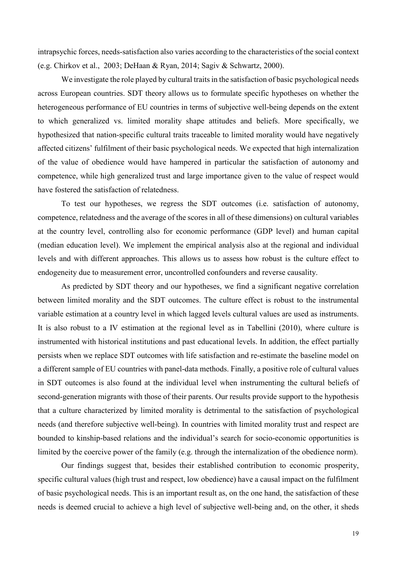intrapsychic forces, needs-satisfaction also varies according to the characteristics of the social context (e.g. Chirkov et al., 2003; DeHaan & Ryan, 2014; Sagiv & Schwartz, 2000).

We investigate the role played by cultural traits in the satisfaction of basic psychological needs across European countries. SDT theory allows us to formulate specific hypotheses on whether the heterogeneous performance of EU countries in terms of subjective well-being depends on the extent to which generalized vs. limited morality shape attitudes and beliefs. More specifically, we hypothesized that nation-specific cultural traits traceable to limited morality would have negatively affected citizens' fulfilment of their basic psychological needs. We expected that high internalization of the value of obedience would have hampered in particular the satisfaction of autonomy and competence, while high generalized trust and large importance given to the value of respect would have fostered the satisfaction of relatedness.

To test our hypotheses, we regress the SDT outcomes (i.e. satisfaction of autonomy, competence, relatedness and the average of the scores in all of these dimensions) on cultural variables at the country level, controlling also for economic performance (GDP level) and human capital (median education level). We implement the empirical analysis also at the regional and individual levels and with different approaches. This allows us to assess how robust is the culture effect to endogeneity due to measurement error, uncontrolled confounders and reverse causality.

As predicted by SDT theory and our hypotheses, we find a significant negative correlation between limited morality and the SDT outcomes. The culture effect is robust to the instrumental variable estimation at a country level in which lagged levels cultural values are used as instruments. It is also robust to a IV estimation at the regional level as in Tabellini (2010), where culture is instrumented with historical institutions and past educational levels. In addition, the effect partially persists when we replace SDT outcomes with life satisfaction and re-estimate the baseline model on a different sample of EU countries with panel-data methods. Finally, a positive role of cultural values in SDT outcomes is also found at the individual level when instrumenting the cultural beliefs of second-generation migrants with those of their parents. Our results provide support to the hypothesis that a culture characterized by limited morality is detrimental to the satisfaction of psychological needs (and therefore subjective well-being). In countries with limited morality trust and respect are bounded to kinship-based relations and the individual's search for socio-economic opportunities is limited by the coercive power of the family (e.g. through the internalization of the obedience norm).

Our findings suggest that, besides their established contribution to economic prosperity, specific cultural values (high trust and respect, low obedience) have a causal impact on the fulfilment of basic psychological needs. This is an important result as, on the one hand, the satisfaction of these needs is deemed crucial to achieve a high level of subjective well-being and, on the other, it sheds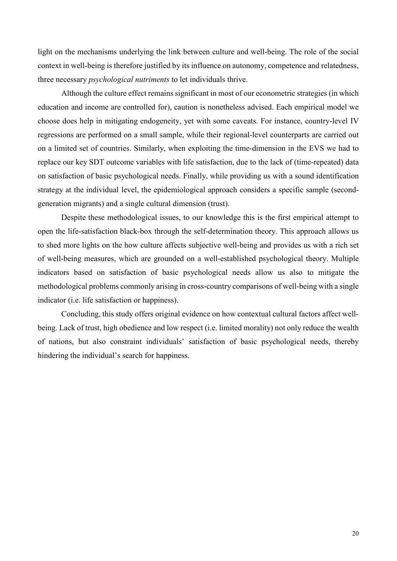light on the mechanisms underlying the link between culture and well-being. The role of the social context in well-being is therefore justified by its influence on autonomy, competence and relatedness, three necessary *psychological nutriments* to let individuals thrive.

Although the culture effect remains significant in most of our econometric strategies (in which education and income are controlled for), caution is nonetheless advised. Each empirical model we choose does help in mitigating endogeneity, yet with some caveats. For instance, country-level IV regressions are performed on a small sample, while their regional-level counterparts are carried out on a limited set of countries. Similarly, when exploiting the time-dimension in the EVS we had to replace our key SDT outcome variables with life satisfaction, due to the lack of (time-repeated) data on satisfaction of basic psychological needs. Finally, while providing us with a sound identification strategy at the individual level, the epidemiological approach considers a specific sample (secondgeneration migrants) and a single cultural dimension (trust).

Despite these methodological issues, to our knowledge this is the first empirical attempt to open the life-satisfaction black-box through the self-determination theory. This approach allows us to shed more lights on the how culture affects subjective well-being and provides us with a rich set of well-being measures, which are grounded on a well-established psychological theory. Multiple indicators based on satisfaction of basic psychological needs allow us also to mitigate the methodological problems commonly arising in cross-country comparisons of well-being with a single indicator (i.e. life satisfaction or happiness).

Concluding, this study offers original evidence on how contextual cultural factors affect wellbeing. Lack of trust, high obedience and low respect (i.e. limited morality) not only reduce the wealth of nations, but also constraint individuals' satisfaction of basic psychological needs, thereby hindering the individual's search for happiness.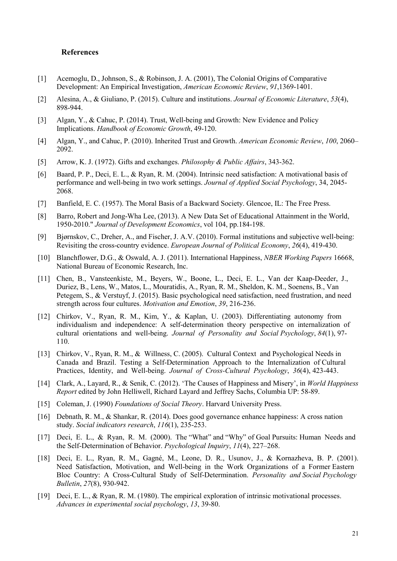#### **References**

- [1] Acemoglu, D., Johnson, S., & Robinson, J. A. (2001), The Colonial Origins of Comparative Development: An Empirical Investigation, *American Economic Review*, *91*,1369-1401.
- [2] Alesina, A., & Giuliano, P. (2015). Culture and institutions. *Journal of Economic Literature*, *53*(4), 898-944.
- [3] Algan, Y., & Cahuc, P. (2014). Trust, Well-being and Growth: New Evidence and Policy Implications. *Handbook of Economic Growth*, 49-120.
- [4] Algan, Y., and Cahuc, P. (2010). Inherited Trust and Growth. *American Economic Review*, *100*, 2060– 2092.
- [5] Arrow, K. J. (1972). Gifts and exchanges. *Philosophy & Public Affairs*, 343-362.
- [6] Baard, P. P., Deci, E. L., & Ryan, R. M. (2004). Intrinsic need satisfaction: A motivational basis of performance and well-being in two work settings. *Journal of Applied Social Psychology*, 34, 2045- 2068.
- [7] Banfield, E. C. (1957). The Moral Basis of a Backward Society. Glencoe, IL: The Free Press.
- [8] Barro, Robert and Jong-Wha Lee, (2013). A New Data Set of Educational Attainment in the World, 1950-2010." *Journal of Development Economics*, vol 104, pp.184-198.
- [9] Bjørnskov, C., Dreher, A., and Fischer, J. A.V. (2010). Formal institutions and subjective well-being: Revisiting the cross-country evidence. *European Journal of Political Economy*, *26*(4), 419-430.
- [10] Blanchflower, D.G., & Oswald, A. J. (2011). International Happiness, *NBER Working Papers* 16668, National Bureau of Economic Research, Inc.
- [11] Chen, B., Vansteenkiste, M., Beyers, W., Boone, L., Deci, E. L., Van der Kaap-Deeder, J., Duriez, B., Lens, W., Matos, L., Mouratidis, A., Ryan, R. M., Sheldon, K. M., Soenens, B., Van Petegem, S., & Verstuyf, J. (2015). Basic psychological need satisfaction, need frustration, and need strength across four cultures. *Motivation and Emotion*, *39*, 216-236.
- [12] Chirkov, V., Ryan, R. M., Kim, Y., & Kaplan, U. (2003). Differentiating autonomy from individualism and independence: A self-determination theory perspective on internalization of cultural orientations and well-being. *Journal of Personality and Social Psychology*, *84*(1), 97- 110.
- [13] Chirkov, V., Ryan, R. M., & Willness, C. (2005). Cultural Context and Psychological Needs in Canada and Brazil. Testing a Self-Determination Approach to the Internalization of Cultural Practices, Identity, and Well-being. *Journal of Cross-Cultural Psychology*, *36*(4), 423-443.
- [14] Clark, A., Layard, R., & Senik, C. (2012). 'The Causes of Happiness and Misery', in *World Happiness Report* edited by John Helliwell, Richard Layard and Jeffrey Sachs, Columbia UP: 58-89.
- [15] Coleman, J. (1990) *Foundations of Social Theory*. Harvard University Press.
- [16] Debnath, R. M., & Shankar, R. (2014). Does good governance enhance happiness: A cross nation study. *Social indicators research*, *116*(1), 235-253.
- [17] Deci, E. L., & Ryan, R. M. (2000). The "What" and "Why" of Goal Pursuits: Human Needs and the Self-Determination of Behavior. *Psychological Inquiry*, *11*(4), 227–268.
- [18] Deci, E. L., Ryan, R. M., Gagné, M., Leone, D. R., Usunov, J., & Kornazheva, B. P. (2001). Need Satisfaction, Motivation, and Well-being in the Work Organizations of a Former Eastern Bloc Country: A Cross-Cultural Study of Self-Determination. *Personality and Social Psychology Bulletin*, *27*(8), 930-942.
- [19] Deci, E. L., & Ryan, R. M. (1980). The empirical exploration of intrinsic motivational processes. *Advances in experimental social psychology*, *13*, 39-80.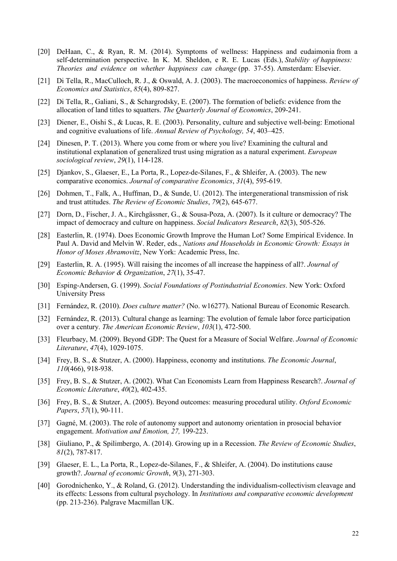- [20] DeHaan, C., & Ryan, R. M. (2014). Symptoms of wellness: Happiness and eudaimonia from a self-determination perspective. In K. M. Sheldon, e R. E. Lucas (Eds.), *Stability of happiness: Theories and evidence on whether happiness can change* (pp. 37-55). Amsterdam: Elsevier.
- [21] Di Tella, R., MacCulloch, R. J., & Oswald, A. J. (2003). The macroeconomics of happiness. *Review of Economics and Statistics*, *85*(4), 809-827.
- [22] Di Tella, R., Galiani, S., & Schargrodsky, E. (2007). The formation of beliefs: evidence from the allocation of land titles to squatters. *The Quarterly Journal of Economics*, 209-241.
- [23] Diener, E., Oishi S., & Lucas, R. E. (2003). Personality, culture and subjective well-being: Emotional and cognitive evaluations of life. *Annual Review of Psychology, 54*, 403–425.
- [24] Dinesen, P. T. (2013). Where you come from or where you live? Examining the cultural and institutional explanation of generalized trust using migration as a natural experiment. *European sociological review*, *29*(1), 114-128.
- [25] Djankov, S., Glaeser, E., La Porta, R., Lopez-de-Silanes, F., & Shleifer, A. (2003). The new comparative economics. *Journal of comparative Economics*, *31*(4), 595-619.
- [26] Dohmen, T., Falk, A., Huffman, D., & Sunde, U. (2012). The intergenerational transmission of risk and trust attitudes. *The Review of Economic Studies*, *79*(2), 645-677.
- [27] Dorn, D., Fischer, J. A., Kirchgässner, G., & Sousa-Poza, A. (2007). Is it culture or democracy? The impact of democracy and culture on happiness. *Social Indicators Research*, *82*(3), 505-526.
- [28] Easterlin, R. (1974). Does Economic Growth Improve the Human Lot? Some Empirical Evidence. In Paul A. David and Melvin W. Reder, eds., *Nations and Households in Economic Growth: Essays in Honor of Moses Abramovitz*, New York: Academic Press, Inc.
- [29] Easterlin, R. A. (1995). Will raising the incomes of all increase the happiness of all?. *Journal of Economic Behavior & Organization*, *27*(1), 35-47.
- [30] Esping-Andersen, G. (1999). *Social Foundations of Postindustrial Economies*. New York: Oxford University Press
- [31] Fernández, R. (2010). *Does culture matter?* (No. w16277). National Bureau of Economic Research.
- [32] Fernández, R. (2013). Cultural change as learning: The evolution of female labor force participation over a century. *The American Economic Review*, *103*(1), 472-500.
- [33] Fleurbaey, M. (2009). Beyond GDP: The Quest for a Measure of Social Welfare. *Journal of Economic Literature*, *47*(4), 1029-1075.
- [34] Frey, B. S., & Stutzer, A. (2000). Happiness, economy and institutions. *The Economic Journal*, *110*(466), 918-938.
- [35] Frey, B. S., & Stutzer, A. (2002). What Can Economists Learn from Happiness Research?. *Journal of Economic Literature*, *40*(2), 402-435.
- [36] Frey, B. S., & Stutzer, A. (2005). Beyond outcomes: measuring procedural utility. *Oxford Economic Papers*, *57*(1), 90-111.
- [37] Gagné, M. (2003). The role of autonomy support and autonomy orientation in prosocial behavior engagement. *Motivation and Emotion, 27,* 199-223.
- [38] Giuliano, P., & Spilimbergo, A. (2014). Growing up in a Recession. *The Review of Economic Studies*, *81*(2), 787-817.
- [39] Glaeser, E. L., La Porta, R., Lopez-de-Silanes, F., & Shleifer, A. (2004). Do institutions cause growth?. *Journal of economic Growth*, *9*(3), 271-303.
- [40] Gorodnichenko, Y., & Roland, G. (2012). Understanding the individualism-collectivism cleavage and its effects: Lessons from cultural psychology. In *Institutions and comparative economic development* (pp. 213-236). Palgrave Macmillan UK.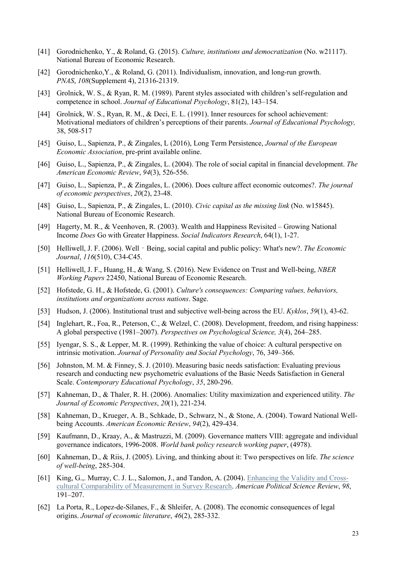- [41] Gorodnichenko, Y., & Roland, G. (2015). *Culture, institutions and democratization* (No. w21117). National Bureau of Economic Research.
- [42] Gorodnichenko,Y., & Roland, G. (2011). Individualism, innovation, and long-run growth. *PNAS*, *108*(Supplement 4), 21316-21319.
- [43] Grolnick, W. S., & Ryan, R. M. (1989). Parent styles associated with children's self-regulation and competence in school. *Journal of Educational Psychology*, 81(2), 143–154.
- [44] Grolnick, W. S., Ryan, R. M., & Deci, E. L. (1991). Inner resources for school achievement: Motivational mediators of children's perceptions of their parents. *Journal of Educational Psychology,* 38, 508-517
- [45] Guiso, L., Sapienza, P., & Zingales, L (2016), Long Term Persistence, *Journal of the European Economic Association*, pre-print available online.
- [46] Guiso, L., Sapienza, P., & Zingales, L. (2004). The role of social capital in financial development. *The American Economic Review*, *94*(3), 526-556.
- [47] Guiso, L., Sapienza, P., & Zingales, L. (2006). Does culture affect economic outcomes?. *The journal of economic perspectives*, *20*(2), 23-48.
- [48] Guiso, L., Sapienza, P., & Zingales, L. (2010). *Civic capital as the missing link* (No. w15845). National Bureau of Economic Research.
- [49] Hagerty, M. R., & Veenhoven, R. (2003). Wealth and Happiness Revisited Growing National Income *Does* Go with Greater Happiness. *Social Indicators Research*, 64(1), 1-27.
- [50] Helliwell, J. F. (2006). Well Being, social capital and public policy: What's new?. *The Economic Journal*, *116*(510), C34-C45.
- [51] Helliwell, J. F., Huang, H., & Wang, S. (2016). New Evidence on Trust and Well-being, *NBER Working Papers* 22450, National Bureau of Economic Research.
- [52] Hofstede, G. H., & Hofstede, G. (2001). *Culture's consequences: Comparing values, behaviors, institutions and organizations across nations*. Sage.
- [53] Hudson, J. (2006). Institutional trust and subjective well-being across the EU. *Kyklos*, *59*(1), 43-62.
- [54] Inglehart, R., Foa, R., Peterson, C., & Welzel, C. (2008). Development, freedom, and rising happiness: A global perspective (1981–2007). *Perspectives on Psychological Science, 3*(4), 264–285.
- [55] Iyengar, S. S., & Lepper, M. R. (1999). Rethinking the value of choice: A cultural perspective on intrinsic motivation. *Journal of Personality and Social Psychology*, 76, 349–366.
- [56] Johnston, M. M. & Finney, S. J. (2010). Measuring basic needs satisfaction: Evaluating previous research and conducting new psychometric evaluations of the Basic Needs Satisfaction in General Scale. *Contemporary Educational Psychology*, *35*, 280-296.
- [57] Kahneman, D., & Thaler, R. H. (2006). Anomalies: Utility maximization and experienced utility. *The Journal of Economic Perspectives*, *20*(1), 221-234.
- [58] Kahneman, D., Krueger, A. B., Schkade, D., Schwarz, N., & Stone, A. (2004). Toward National Wellbeing Accounts. *American Economic Review*, *94*(2), 429-434.
- [59] Kaufmann, D., Kraay, A., & Mastruzzi, M. (2009). Governance matters VIII: aggregate and individual governance indicators, 1996-2008. *World bank policy research working paper*, (4978).
- [60] Kahneman, D., & Riis, J. (2005). Living, and thinking about it: Two perspectives on life. *The science of well-being*, 285-304.
- [61] King, G.,. Murray, C. J. L., Salomon, J., and Tandon, A. (2004). [Enhancing the Validity and Cross](http://gking.harvard.edu/files/abs/vign-abs.shtml)[cultural Comparability of Measurement in Survey Research.](http://gking.harvard.edu/files/abs/vign-abs.shtml) *American Political Science Review*, *98*, 191–207.
- [62] La Porta, R., Lopez-de-Silanes, F., & Shleifer, A. (2008). The economic consequences of legal origins. *Journal of economic literature*, *46*(2), 285-332.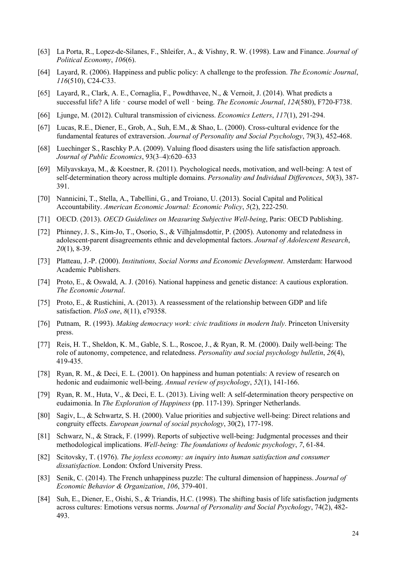- [63] La Porta, R., Lopez-de-Silanes, F., Shleifer, A., & Vishny, R. W. (1998). Law and Finance. *Journal of Political Economy*, *106*(6).
- [64] Layard, R. (2006). Happiness and public policy: A challenge to the profession. *The Economic Journal*, *116*(510), C24-C33.
- [65] Layard, R., Clark, A. E., Cornaglia, F., Powdthavee, N., & Vernoit, J. (2014). What predicts a successful life? A life - course model of well - being. *The Economic Journal*, *124*(580), F720-F738.
- [66] Ljunge, M. (2012). Cultural transmission of civicness. *Economics Letters*, *117*(1), 291-294.
- [67] Lucas, R.E., Diener, E., Grob, A., Suh, E.M., & Shao, L. (2000). Cross-cultural evidence for the fundamental features of extraversion. *Journal of Personality and Social Psychology*, 79(3), 452-468.
- [68] Luechinger S., Raschky P.A. (2009). Valuing flood disasters using the life satisfaction approach. *Journal of Public Economics*, 93(3–4):620–633
- [69] Milyavskaya, M., & Koestner, R. (2011). Psychological needs, motivation, and well-being: A test of self-determination theory across multiple domains. *Personality and Individual Differences*, *50*(3), 387- 391.
- [70] Nannicini, T., Stella, A., Tabellini, G., and Troiano, U. (2013). Social Capital and Political Accountability. *American Economic Journal: Economic Policy*, *5*(2), 222-250.
- [71] OECD. (2013). *OECD Guidelines on Measuring Subjective Well-being*, Paris: OECD Publishing.
- [72] Phinney, J. S., Kim-Jo, T., Osorio, S., & Vilhjalmsdottir, P. (2005). Autonomy and relatedness in adolescent-parent disagreements ethnic and developmental factors. *Journal of Adolescent Research*, *20*(1), 8-39.
- [73] Platteau, J.-P. (2000). *Institutions, Social Norms and Economic Development*. Amsterdam: Harwood Academic Publishers.
- [74] Proto, E., & Oswald, A. J. (2016). National happiness and genetic distance: A cautious exploration. *The Economic Journal*.
- [75] Proto, E., & Rustichini, A. (2013). A reassessment of the relationship between GDP and life satisfaction. *PloS one*, *8*(11), e79358.
- [76] Putnam, R. (1993). *Making democracy work: civic traditions in modern Italy*. Princeton University press.
- [77] Reis, H. T., Sheldon, K. M., Gable, S. L., Roscoe, J., & Ryan, R. M. (2000). Daily well-being: The role of autonomy, competence, and relatedness. *Personality and social psychology bulletin*, *26*(4), 419-435.
- [78] Ryan, R. M., & Deci, E. L. (2001). On happiness and human potentials: A review of research on hedonic and eudaimonic well-being. *Annual review of psychology*, *52*(1), 141-166.
- [79] Ryan, R. M., Huta, V., & Deci, E. L. (2013). Living well: A self-determination theory perspective on eudaimonia. In *The Exploration of Happiness* (pp. 117-139). Springer Netherlands.
- [80] Sagiv, L., & Schwartz, S. H. (2000). Value priorities and subjective well-being: Direct relations and congruity effects. *European journal of social psychology*, 30(2), 177-198.
- [81] Schwarz, N., & Strack, F. (1999). Reports of subjective well-being: Judgmental processes and their methodological implications. *Well-being: The foundations of hedonic psychology*, *7*, 61-84.
- [82] Scitovsky, T. (1976). *The joyless economy: an inquiry into human satisfaction and consumer dissatisfaction*. London: Oxford University Press.
- [83] Senik, C. (2014). The French unhappiness puzzle: The cultural dimension of happiness. *Journal of Economic Behavior & Organization*, *106*, 379-401.
- [84] Suh, E., Diener, E., Oishi, S., & Triandis, H.C. (1998). The shifting basis of life satisfaction judgments across cultures: Emotions versus norms. *Journal of Personality and Social Psychology*, 74(2), 482- 493.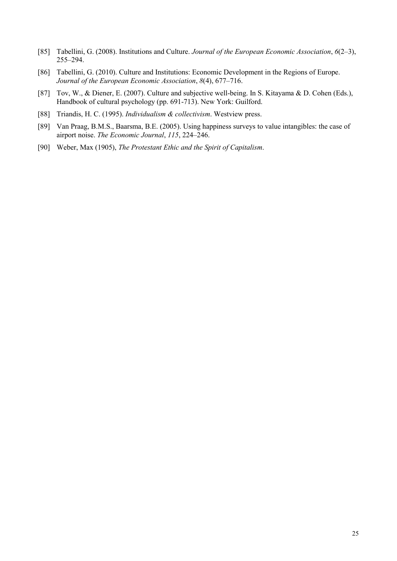- [85] Tabellini, G. (2008). Institutions and Culture. *Journal of the European Economic Association*, *6*(2–3), 255–294.
- [86] Tabellini, G. (2010). Culture and Institutions: Economic Development in the Regions of Europe. *Journal of the European Economic Association*, *8*(4), 677–716.
- [87] Tov, W., & Diener, E. (2007). Culture and subjective well-being. In S. Kitayama & D. Cohen (Eds.), Handbook of cultural psychology (pp. 691-713). New York: Guilford.
- [88] Triandis, H. C. (1995). *Individualism & collectivism*. Westview press.
- [89] Van Praag, B.M.S., Baarsma, B.E. (2005). Using happiness surveys to value intangibles: the case of airport noise. *The Economic Journal*, *115*, 224–246.
- [90] Weber, Max (1905), *The Protestant Ethic and the Spirit of Capitalism*.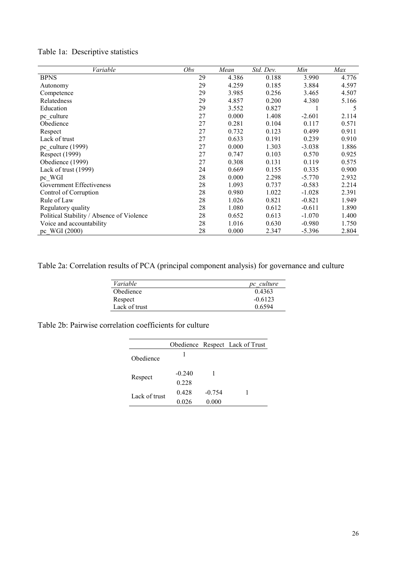| Variable                                  | Obs | Mean  | Std. Dev. | Min      | Max   |
|-------------------------------------------|-----|-------|-----------|----------|-------|
| <b>BPNS</b>                               | 29  | 4.386 | 0.188     | 3.990    | 4.776 |
| Autonomy                                  | 29  | 4.259 | 0.185     | 3.884    | 4.597 |
| Competence                                | 29  | 3.985 | 0.256     | 3.465    | 4.507 |
| Relatedness                               | 29  | 4.857 | 0.200     | 4.380    | 5.166 |
| Education                                 | 29  | 3.552 | 0.827     |          | 5     |
| pc culture                                | 27  | 0.000 | 1.408     | $-2.601$ | 2.114 |
| Obedience                                 | 27  | 0.281 | 0.104     | 0.117    | 0.571 |
| Respect                                   | 27  | 0.732 | 0.123     | 0.499    | 0.911 |
| Lack of trust                             | 27  | 0.633 | 0.191     | 0.239    | 0.910 |
| pc culture $(1999)$                       | 27  | 0.000 | 1.303     | $-3.038$ | 1.886 |
| Respect (1999)                            | 27  | 0.747 | 0.103     | 0.570    | 0.925 |
| Obedience (1999)                          | 27  | 0.308 | 0.131     | 0.119    | 0.575 |
| Lack of trust (1999)                      | 24  | 0.669 | 0.155     | 0.335    | 0.900 |
| pc WGI                                    | 28  | 0.000 | 2.298     | $-5.770$ | 2.932 |
| Government Effectiveness                  | 28  | 1.093 | 0.737     | $-0.583$ | 2.214 |
| Control of Corruption                     | 28  | 0.980 | 1.022     | $-1.028$ | 2.391 |
| Rule of Law                               | 28  | 1.026 | 0.821     | $-0.821$ | 1.949 |
| Regulatory quality                        | 28  | 1.080 | 0.612     | $-0.611$ | 1.890 |
| Political Stability / Absence of Violence | 28  | 0.652 | 0.613     | $-1.070$ | 1.400 |
| Voice and accountability                  | 28  | 1.016 | 0.630     | $-0.980$ | 1.750 |
| pc WGI (2000)                             | 28  | 0.000 | 2.347     | $-5.396$ | 2.804 |

## Table 1a: Descriptive statistics

Table 2a: Correlation results of PCA (principal component analysis) for governance and culture

| pc culture |
|------------|
| 0.4363     |
| $-0.6123$  |
| 0.6594     |
|            |

Table 2b: Pairwise correlation coefficients for culture

|               |          |          | Obedience Respect Lack of Trust |
|---------------|----------|----------|---------------------------------|
| Obedience     |          |          |                                 |
| Respect       | $-0.240$ |          |                                 |
|               | 0.228    |          |                                 |
| Lack of trust | 0.428    | $-0.754$ |                                 |
|               | 0.026    | 0.000    |                                 |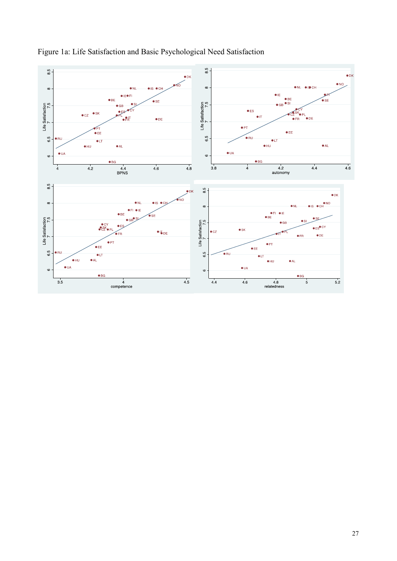

Figure 1a: Life Satisfaction and Basic Psychological Need Satisfaction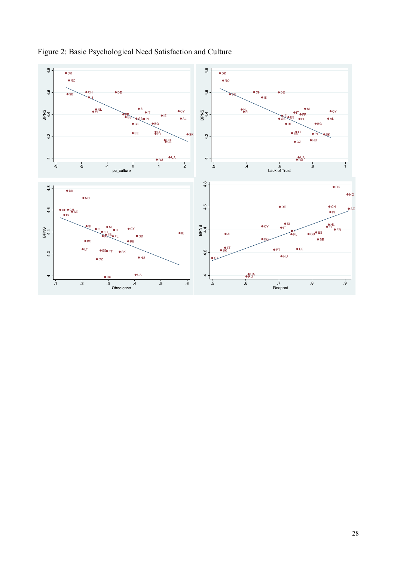

## Figure 2: Basic Psychological Need Satisfaction and Culture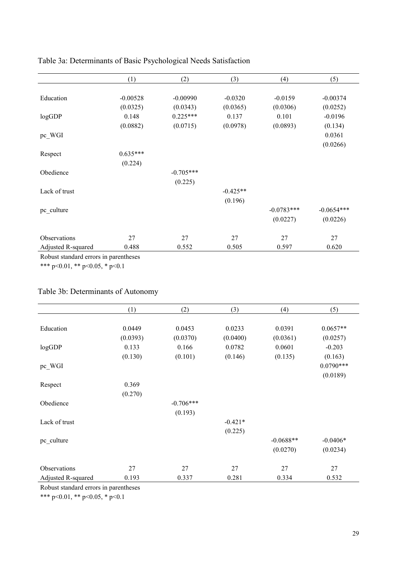|                    | (1)        | (2)         | (3)        | (4)          | (5)          |
|--------------------|------------|-------------|------------|--------------|--------------|
|                    |            |             |            |              |              |
| Education          | $-0.00528$ | $-0.00990$  | $-0.0320$  | $-0.0159$    | $-0.00374$   |
|                    | (0.0325)   | (0.0343)    | (0.0365)   | (0.0306)     | (0.0252)     |
| logGDP             | 0.148      | $0.225***$  | 0.137      | 0.101        | $-0.0196$    |
|                    | (0.0882)   | (0.0715)    | (0.0978)   | (0.0893)     | (0.134)      |
| pc_WGI             |            |             |            |              | 0.0361       |
|                    |            |             |            |              | (0.0266)     |
| Respect            | $0.635***$ |             |            |              |              |
|                    | (0.224)    |             |            |              |              |
| Obedience          |            | $-0.705***$ |            |              |              |
|                    |            | (0.225)     |            |              |              |
| Lack of trust      |            |             | $-0.425**$ |              |              |
|                    |            |             | (0.196)    |              |              |
| pc_culture         |            |             |            | $-0.0783***$ | $-0.0654***$ |
|                    |            |             |            | (0.0227)     | (0.0226)     |
|                    |            |             |            |              |              |
| Observations       | 27         | 27          | 27         | 27           | 27           |
| Adjusted R-squared | 0.488      | 0.552       | 0.505      | 0.597        | 0.620        |
|                    |            |             |            |              |              |

### Table 3a: Determinants of Basic Psychological Needs Satisfaction

Robust standard errors in parentheses

\*\*\* p<0.01, \*\* p<0.05, \* p<0.1

## Table 3b: Determinants of Autonomy

|                    | (1)      | (2)         | (3)       | (4)         | (5)         |
|--------------------|----------|-------------|-----------|-------------|-------------|
|                    |          |             |           |             |             |
| Education          | 0.0449   | 0.0453      | 0.0233    | 0.0391      | $0.0657**$  |
|                    | (0.0393) | (0.0370)    | (0.0400)  | (0.0361)    | (0.0257)    |
| logGDP             | 0.133    | 0.166       | 0.0782    | 0.0601      | $-0.203$    |
|                    | (0.130)  | (0.101)     | (0.146)   | (0.135)     | (0.163)     |
| pc_WGI             |          |             |           |             | $0.0790***$ |
|                    |          |             |           |             | (0.0189)    |
| Respect            | 0.369    |             |           |             |             |
|                    | (0.270)  |             |           |             |             |
| Obedience          |          | $-0.706***$ |           |             |             |
|                    |          | (0.193)     |           |             |             |
| Lack of trust      |          |             | $-0.421*$ |             |             |
|                    |          |             | (0.225)   |             |             |
| pc_culture         |          |             |           | $-0.0688**$ | $-0.0406*$  |
|                    |          |             |           | (0.0270)    | (0.0234)    |
|                    |          |             |           |             |             |
| Observations       | 27       | 27          | 27        | 27          | 27          |
| Adjusted R-squared | 0.193    | 0.337       | 0.281     | 0.334       | 0.532       |

Robust standard errors in parentheses

\*\*\* p<0.01, \*\* p<0.05, \* p<0.1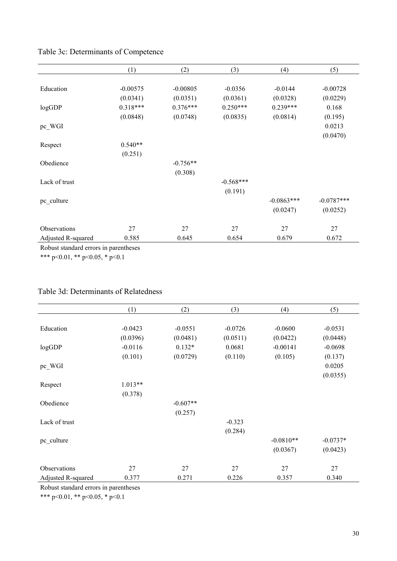|                    | (1)        | (2)        | (3)         | (4)          | (5)          |
|--------------------|------------|------------|-------------|--------------|--------------|
|                    |            |            |             |              |              |
| Education          | $-0.00575$ | $-0.00805$ | $-0.0356$   | $-0.0144$    | $-0.00728$   |
|                    | (0.0341)   | (0.0351)   | (0.0361)    | (0.0328)     | (0.0229)     |
| logGDP             | $0.318***$ | $0.376***$ | $0.250***$  | $0.239***$   | 0.168        |
|                    | (0.0848)   | (0.0748)   | (0.0835)    | (0.0814)     | (0.195)      |
| pc_WGI             |            |            |             |              | 0.0213       |
|                    |            |            |             |              | (0.0470)     |
| Respect            | $0.540**$  |            |             |              |              |
|                    | (0.251)    |            |             |              |              |
| Obedience          |            | $-0.756**$ |             |              |              |
|                    |            | (0.308)    |             |              |              |
| Lack of trust      |            |            | $-0.568***$ |              |              |
|                    |            |            | (0.191)     |              |              |
| pc_culture         |            |            |             | $-0.0863***$ | $-0.0787***$ |
|                    |            |            |             | (0.0247)     | (0.0252)     |
|                    |            |            |             |              |              |
| Observations       | 27         | 27         | 27          | 27           | 27           |
| Adjusted R-squared | 0.585      | 0.645      | 0.654       | 0.679        | 0.672        |

### Table 3c: Determinants of Competence

Robust standard errors in parentheses

\*\*\* p<0.01, \*\* p<0.05, \* p<0.1

### Table 3d: Determinants of Relatedness

|                    | (1)       | (2)        | (3)       | (4)         | (5)        |
|--------------------|-----------|------------|-----------|-------------|------------|
|                    |           |            |           |             |            |
| Education          | $-0.0423$ | $-0.0551$  | $-0.0726$ | $-0.0600$   | $-0.0531$  |
|                    | (0.0396)  | (0.0481)   | (0.0511)  | (0.0422)    | (0.0448)   |
| logGDP             | $-0.0116$ | $0.132*$   | 0.0681    | $-0.00141$  | $-0.0698$  |
|                    | (0.101)   | (0.0729)   | (0.110)   | (0.105)     | (0.137)    |
| pc_WGI             |           |            |           |             | 0.0205     |
|                    |           |            |           |             | (0.0355)   |
| Respect            | $1.013**$ |            |           |             |            |
|                    | (0.378)   |            |           |             |            |
| Obedience          |           | $-0.607**$ |           |             |            |
|                    |           | (0.257)    |           |             |            |
| Lack of trust      |           |            | $-0.323$  |             |            |
|                    |           |            | (0.284)   |             |            |
| pc_culture         |           |            |           | $-0.0810**$ | $-0.0737*$ |
|                    |           |            |           | (0.0367)    | (0.0423)   |
|                    |           |            |           |             |            |
| Observations       | 27        | 27         | 27        | 27          | 27         |
| Adjusted R-squared | 0.377     | 0.271      | 0.226     | 0.357       | 0.340      |

Robust standard errors in parentheses

\*\*\* p<0.01, \*\* p<0.05, \* p<0.1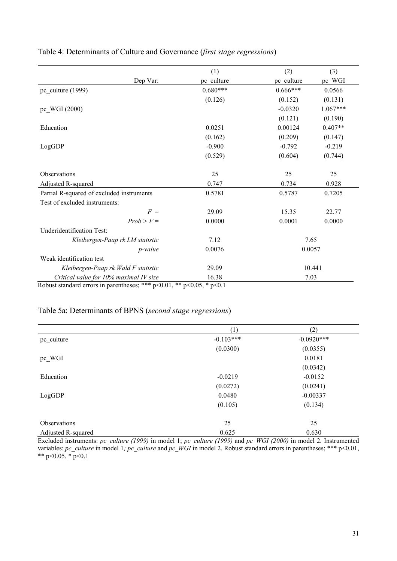|                                                                               |                 | (1)        | (2)        | (3)        |
|-------------------------------------------------------------------------------|-----------------|------------|------------|------------|
|                                                                               | Dep Var:        | pc culture | pc culture | pc WGI     |
| $pc$ _culture (1999)                                                          |                 | $0.680***$ | $0.666***$ | 0.0566     |
|                                                                               |                 | (0.126)    | (0.152)    | (0.131)    |
| pc WGI (2000)                                                                 |                 |            | $-0.0320$  | $1.067***$ |
|                                                                               |                 |            | (0.121)    | (0.190)    |
| Education                                                                     |                 | 0.0251     | 0.00124    | $0.407**$  |
|                                                                               |                 | (0.162)    | (0.209)    | (0.147)    |
| LogGDP                                                                        |                 | $-0.900$   | $-0.792$   | $-0.219$   |
|                                                                               |                 | (0.529)    | (0.604)    | (0.744)    |
|                                                                               |                 |            |            |            |
| Observations                                                                  |                 | 25         | 25         | 25         |
| Adjusted R-squared                                                            |                 | 0.747      | 0.734      | 0.928      |
| Partial R-squared of excluded instruments                                     |                 | 0.5781     | 0.5787     | 0.7205     |
| Test of excluded instruments:                                                 |                 |            |            |            |
|                                                                               | $F =$           | 29.09      | 15.35      | 22.77      |
|                                                                               | $Prob > F =$    | 0.0000     | 0.0001     | 0.0000     |
| Underidentification Test:                                                     |                 |            |            |            |
| Kleibergen-Paap rk LM statistic                                               |                 | 7.12       | 7.65       |            |
|                                                                               | <i>p</i> -value | 0.0076     | 0.0057     |            |
| Weak identification test                                                      |                 |            |            |            |
| Kleibergen-Paap rk Wald F statistic                                           |                 | 29.09      | 10.441     |            |
| Critical value for 10% maximal IV size                                        |                 | 16.38      | 7.03       |            |
| Robust standard errors in parentheses; *** $p<0.01$ , ** $p<0.05$ , * $p<0.1$ |                 |            |            |            |

### Table 4: Determinants of Culture and Governance (*first stage regressions*)

## Table 5a: Determinants of BPNS (*second stage regressions*)

|                     | (1)         | (2)          |
|---------------------|-------------|--------------|
| pc_culture          | $-0.103***$ | $-0.0920***$ |
|                     | (0.0300)    | (0.0355)     |
| $pc$ WGI            |             | 0.0181       |
|                     |             | (0.0342)     |
| Education           | $-0.0219$   | $-0.0152$    |
|                     | (0.0272)    | (0.0241)     |
| LogGDP              | 0.0480      | $-0.00337$   |
|                     | (0.105)     | (0.134)      |
| <b>Observations</b> | 25          | 25           |
| Adjusted R-squared  | 0.625       | 0.630        |

Excluded instruments: *pc\_culture (1999)* in model 1; *pc\_culture (1999)* and *pc\_WGI (2000)* in model 2*.* Instrumented variables: *pc\_culture* in model 1*; pc\_culture* and *pc\_WGI* in model 2. Robust standard errors in parentheses; \*\*\* p<0.01, \*\* p<0.05,  $\overline{p}$  p<0.1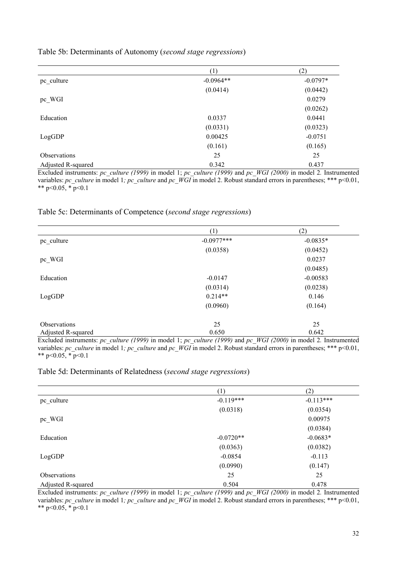|                     | (1)         | (2)        |
|---------------------|-------------|------------|
| pc culture          | $-0.0964**$ | $-0.0797*$ |
|                     | (0.0414)    | (0.0442)   |
| $pc$ WGI            |             | 0.0279     |
|                     |             | (0.0262)   |
| Education           | 0.0337      | 0.0441     |
|                     | (0.0331)    | (0.0323)   |
| LogGDP              | 0.00425     | $-0.0751$  |
|                     | (0.161)     | (0.165)    |
| <b>Observations</b> | 25          | 25         |
| Adjusted R-squared  | 0.342       | 0.437      |

Table 5b: Determinants of Autonomy (*second stage regressions*)

Excluded instruments: *pc\_culture (1999)* in model 1; *pc\_culture (1999)* and *pc\_WGI (2000)* in model 2*.* Instrumented variables: *pc\_culture* in model 1*; pc\_culture* and *pc\_WGI* in model 2. Robust standard errors in parentheses; \*\*\* p<0.01, \*\* p<0.05,  $\overline{p}$  =0.1

#### Table 5c: Determinants of Competence (*second stage regressions*)

|                     | (1)          | (2)        |
|---------------------|--------------|------------|
| pc_culture          | $-0.0977***$ | $-0.0835*$ |
|                     | (0.0358)     | (0.0452)   |
| pc_WGI              |              | 0.0237     |
|                     |              | (0.0485)   |
| Education           | $-0.0147$    | $-0.00583$ |
|                     | (0.0314)     | (0.0238)   |
| LogGDP              | $0.214**$    | 0.146      |
|                     | (0.0960)     | (0.164)    |
| <b>Observations</b> | 25           | 25         |
| Adjusted R-squared  | 0.650        | 0.642      |

Excluded instruments: *pc\_culture (1999)* in model 1; *pc\_culture (1999)* and *pc\_WGI (2000)* in model 2*.* Instrumented variables: *pc\_culture* in model 1*; pc\_culture* and *pc\_WGI* in model 2. Robust standard errors in parentheses; \*\*\* p<0.01, \*\* p<0.05,  $\overline{p}$  =0.1

#### Table 5d: Determinants of Relatedness (*second stage regressions*)

|                     | (1)         | (2)         |
|---------------------|-------------|-------------|
| pc_culture          | $-0.119***$ | $-0.113***$ |
|                     | (0.0318)    | (0.0354)    |
| pc_WGI              |             | 0.00975     |
|                     |             | (0.0384)    |
| Education           | $-0.0720**$ | $-0.0683*$  |
|                     | (0.0363)    | (0.0382)    |
| LogGDP              | $-0.0854$   | $-0.113$    |
|                     | (0.0990)    | (0.147)     |
| <b>Observations</b> | 25          | 25          |
| Adjusted R-squared  | 0.504       | 0.478       |

Excluded instruments: *pc\_culture (1999)* in model 1; *pc\_culture (1999)* and *pc\_WGI (2000)* in model 2*.* Instrumented variables: *pc\_culture* in model 1*; pc\_culture* and *pc\_WGI* in model 2. Robust standard errors in parentheses; \*\*\* p<0.01, \*\* p<0.05,  $\overline{p}$  p<0.1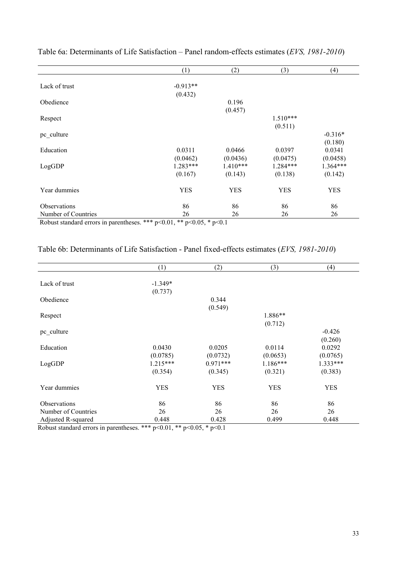|                     | (1)        | (2)        | (3)        | (4)        |
|---------------------|------------|------------|------------|------------|
|                     |            |            |            |            |
| Lack of trust       | $-0.913**$ |            |            |            |
|                     | (0.432)    |            |            |            |
| Obedience           |            | 0.196      |            |            |
|                     |            | (0.457)    |            |            |
| Respect             |            |            | $1.510***$ |            |
|                     |            |            | (0.511)    |            |
| pc_culture          |            |            |            | $-0.316*$  |
|                     |            |            |            | (0.180)    |
| Education           | 0.0311     | 0.0466     | 0.0397     | 0.0341     |
|                     | (0.0462)   | (0.0436)   | (0.0475)   | (0.0458)   |
|                     | $1.283***$ | $1.410***$ | $1.284***$ | $1.364***$ |
| LogGDP              |            |            |            |            |
|                     | (0.167)    | (0.143)    | (0.138)    | (0.142)    |
|                     |            |            |            |            |
| Year dummies        | <b>YES</b> | <b>YES</b> | <b>YES</b> | <b>YES</b> |
|                     |            |            |            |            |
| Observations        | 86         | 86         | 86         | 86         |
| Number of Countries | 26         | 26         | 26         | 26         |

Table 6a: Determinants of Life Satisfaction – Panel random-effects estimates (*EVS, 1981-2010*)

Robust standard errors in parentheses. \*\*\* p<0.01, \*\* p<0.05, \* p<0.1

| Table 6b: Determinants of Life Satisfaction - Panel fixed-effects estimates (EVS, 1981-2010) |  |  |  |  |
|----------------------------------------------------------------------------------------------|--|--|--|--|
|----------------------------------------------------------------------------------------------|--|--|--|--|

|                     | (1)        | (2)        | (3)        | (4)        |
|---------------------|------------|------------|------------|------------|
|                     |            |            |            |            |
| Lack of trust       | $-1.349*$  |            |            |            |
|                     | (0.737)    |            |            |            |
| Obedience           |            | 0.344      |            |            |
|                     |            | (0.549)    |            |            |
| Respect             |            |            | 1.886**    |            |
|                     |            |            | (0.712)    |            |
| pc_culture          |            |            |            | $-0.426$   |
|                     |            |            |            | (0.260)    |
| Education           | 0.0430     | 0.0205     | 0.0114     | 0.0292     |
|                     | (0.0785)   | (0.0732)   | (0.0653)   | (0.0765)   |
| LogGDP              | $1.215***$ | $0.971***$ | $1.186***$ | $1.333***$ |
|                     | (0.354)    | (0.345)    | (0.321)    | (0.383)    |
| Year dummies        | <b>YES</b> | <b>YES</b> | <b>YES</b> | <b>YES</b> |
| Observations        | 86         | 86         | 86         | 86         |
| Number of Countries | 26         | 26         | 26         | 26         |
| Adjusted R-squared  | 0.448      | 0.428      | 0.499      | 0.448      |

Robust standard errors in parentheses. \*\*\* p<0.01, \*\* p<0.05, \* p<0.1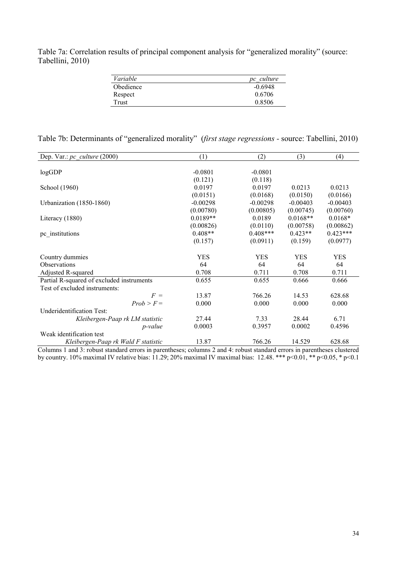Table 7a: Correlation results of principal component analysis for "generalized morality" (source: Tabellini, 2010)

| Variable  | pc culture |
|-----------|------------|
| Obedience | $-0.6948$  |
| Respect   | 0.6706     |
| Trust     | 0.8506     |

| Table 7b: Determinants of "generalized morality" (first stage regressions - source: Tabellini, 2010) |  |  |
|------------------------------------------------------------------------------------------------------|--|--|
|------------------------------------------------------------------------------------------------------|--|--|

| Dep. Var.: $pc$ culture (2000)            | (1)        | (2)        | (3)        | (4)        |
|-------------------------------------------|------------|------------|------------|------------|
|                                           |            |            |            |            |
| logGDP                                    | $-0.0801$  | $-0.0801$  |            |            |
|                                           | (0.121)    | (0.118)    |            |            |
| School (1960)                             | 0.0197     | 0.0197     | 0.0213     | 0.0213     |
|                                           | (0.0151)   | (0.0168)   | (0.0150)   | (0.0166)   |
| Urbanization (1850-1860)                  | $-0.00298$ | $-0.00298$ | $-0.00403$ | $-0.00403$ |
|                                           | (0.00780)  | (0.00805)  | (0.00745)  | (0.00760)  |
| Literacy $(1880)$                         | $0.0189**$ | 0.0189     | $0.0168**$ | $0.0168*$  |
|                                           | (0.00826)  | (0.0110)   | (0.00758)  | (0.00862)  |
| pc institutions                           | $0.408**$  | $0.408***$ | $0.423**$  | $0.423***$ |
|                                           | (0.157)    | (0.0911)   | (0.159)    | (0.0977)   |
|                                           |            |            |            |            |
| Country dummies                           | <b>YES</b> | <b>YES</b> | <b>YES</b> | <b>YES</b> |
| Observations                              | 64         | 64         | 64         | 64         |
| Adjusted R-squared                        | 0.708      | 0.711      | 0.708      | 0.711      |
| Partial R-squared of excluded instruments | 0.655      | 0.655      | 0.666      | 0.666      |
| Test of excluded instruments:             |            |            |            |            |
| $F =$                                     | 13.87      | 766.26     | 14.53      | 628.68     |
| $Prob > F =$                              | 0.000      | 0.000      | 0.000      | 0.000      |
| Underidentification Test:                 |            |            |            |            |
| Kleibergen-Paap rk LM statistic           | 27.44      | 7.33       | 28.44      | 6.71       |
| <i>p</i> -value                           | 0.0003     | 0.3957     | 0.0002     | 0.4596     |
| Weak identification test                  |            |            |            |            |
| Kleibergen-Paap rk Wald F statistic       | 13.87      | 766.26     | 14.529     | 628.68     |

Columns 1 and 3: robust standard errors in parentheses; columns 2 and 4: robust standard errors in parentheses clustered by country. 10% maximal IV relative bias: 11.29; 20% maximal IV maximal bias: 12.48. \*\*\* p<0.01, \*\* p<0.05, \* p<0.1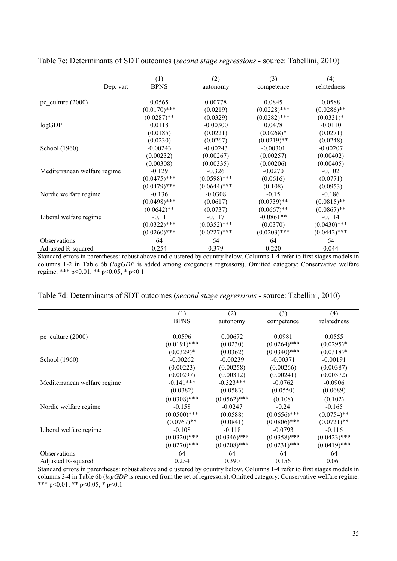| Dep. var:                    | (1)<br><b>BPNS</b> | (2)<br>autonomy | (3)<br>competence | (4)<br>relatedness |
|------------------------------|--------------------|-----------------|-------------------|--------------------|
|                              |                    |                 |                   |                    |
| pc culture $(2000)$          | 0.0565             | 0.00778         | 0.0845            | 0.0588             |
|                              | $(0.0170)$ ***     | (0.0219)        | $(0.0228)$ ***    | $(0.0286)$ **      |
|                              | $(0.0287)$ **      | (0.0329)        | $(0.0282)$ ***    | $(0.0331)*$        |
| logGDP                       | 0.0118             | $-0.00300$      | 0.0478            | $-0.0110$          |
|                              | (0.0185)           | (0.0221)        | $(0.0268)*$       | (0.0271)           |
|                              | (0.0230)           | (0.0267)        | $(0.0219)$ **     | (0.0248)           |
| School (1960)                | $-0.00243$         | $-0.00243$      | $-0.00301$        | $-0.00207$         |
|                              | (0.00232)          | (0.00267)       | (0.00257)         | (0.00402)          |
|                              | (0.00308)          | (0.00335)       | (0.00206)         | (0.00405)          |
| Mediterranean welfare regime | $-0.129$           | $-0.326$        | $-0.0270$         | $-0.102$           |
|                              | $(0.0475)$ ***     | $(0.0598)$ ***  | (0.0616)          | (0.0771)           |
|                              | $(0.0479)$ ***     | $(0.0644)$ ***  | (0.108)           | (0.0953)           |
| Nordic welfare regime        | $-0.136$           | $-0.0308$       | $-0.15$           | $-0.186$           |
|                              | $(0.0498)$ ***     | (0.0617)        | $(0.0739)$ **     | $(0.0815)$ **      |
|                              | $(0.0642)$ **      | (0.0737)        | $(0.0667)$ **     | $(0.0867)$ **      |
| Liberal welfare regime       | $-0.11$            | $-0.117$        | $-0.0861**$       | $-0.114$           |
|                              | $(0.0322)$ ***     | $(0.0352)$ ***  | (0.0370)          | $(0.0430)$ ***     |
|                              | $(0.0260)$ ***     | $(0.0227)$ ***  | $(0.0203)$ ***    | $(0.0442)$ ***     |
| <b>Observations</b>          | 64                 | 64              | 64                | 64                 |
| Adjusted R-squared           | 0.254              | 0.379           | 0.220             | 0.044              |

Table 7c: Determinants of SDT outcomes (*second stage regressions -* source: Tabellini, 2010)

Standard errors in parentheses: robust above and clustered by country below. Columns 1-4 refer to first stages models in columns 1-2 in Table 6b (*logGDP* is added among exogenous regressors). Omitted category: Conservative welfare regime. \*\*\* p<0.01, \*\* p<0.05, \* p<0.1

| Table 7d: Determinants of SDT outcomes (second stage regressions - source: Tabellini, 2010) |  |  |
|---------------------------------------------------------------------------------------------|--|--|
|                                                                                             |  |  |

|                              | (1)            | (2)            | (3)            | (4)            |
|------------------------------|----------------|----------------|----------------|----------------|
|                              | <b>BPNS</b>    | autonomy       | competence     | relatedness    |
|                              |                |                |                |                |
| pc culture $(2000)$          | 0.0596         | 0.00672        | 0.0981         | 0.0555         |
|                              | $(0.0191)$ *** | (0.0230)       | $(0.0264)$ *** | $(0.0295)*$    |
|                              | $(0.0329)*$    | (0.0362)       | $(0.0340)$ *** | $(0.0318)*$    |
| School (1960)                | $-0.00262$     | $-0.00239$     | $-0.00371$     | $-0.00191$     |
|                              | (0.00223)      | (0.00258)      | (0.00266)      | (0.00387)      |
|                              | (0.00297)      | (0.00312)      | (0.00241)      | (0.00372)      |
| Mediterranean welfare regime | $-0.141***$    | $-0.323***$    | $-0.0762$      | $-0.0906$      |
|                              | (0.0382)       | (0.0583)       | (0.0550)       | (0.0689)       |
|                              | $(0.0308)$ *** | $(0.0562)$ *** | (0.108)        | (0.102)        |
| Nordic welfare regime        | $-0.158$       | $-0.0247$      | $-0.24$        | $-0.165$       |
|                              | $(0.0500)$ *** | (0.0588)       | $(0.0656)$ *** | $(0.0754)$ **  |
|                              | $(0.0767)$ **  | (0.0841)       | $(0.0806)$ *** | $(0.0721)$ **  |
| Liberal welfare regime       | $-0.108$       | $-0.118$       | $-0.0793$      | $-0.116$       |
|                              | $(0.0320)$ *** | $(0.0346)$ *** | $(0.0358)$ *** | $(0.0423)$ *** |
|                              | $(0.0270)$ *** | $(0.0208)$ *** | $(0.0231)$ *** | $(0.0419)$ *** |
| <b>Observations</b>          | 64             | 64             | 64             | 64             |
| Adjusted R-squared           | 0.254          | 0.390          | 0.156          | 0.061          |

Standard errors in parentheses: robust above and clustered by country below. Columns 1-4 refer to first stages models in columns 3-4 in Table 6b (*logGDP* is removed from the set of regressors). Omitted category: Conservative welfare regime. \*\*\* p<0.01, \*\* p<0.05, \* p<0.1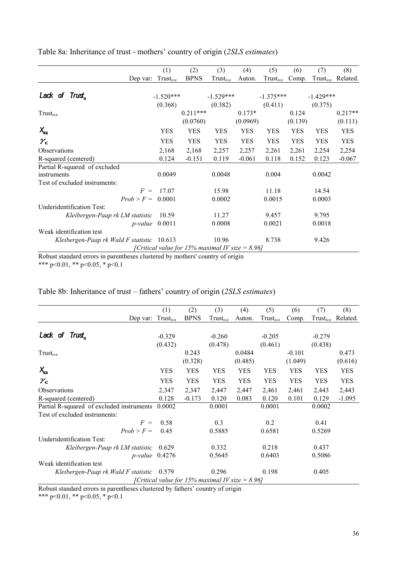Table 8a: Inheritance of trust - mothers' country of origin (*2SLS estimates*)

|                                            | (1)                                             | (2)         | (3)                  | (4)        | (5)         | (6)        | (7)         | (8)        |
|--------------------------------------------|-------------------------------------------------|-------------|----------------------|------------|-------------|------------|-------------|------------|
| Dep var:                                   | Trustica                                        | <b>BPNS</b> | Trust <sub>ica</sub> | Auton.     | Trustica    | Comp.      | Trustica    | Related.   |
| Lack of Trust                              |                                                 |             |                      |            |             |            |             |            |
|                                            | $-1.520***$                                     |             | $-1.529***$          |            | $-1.375***$ |            | $-1.429***$ |            |
|                                            | (0.368)                                         |             | (0.382)              |            | (0.411)     |            | (0.375)     |            |
| Trustica                                   |                                                 | $0.211***$  |                      | $0.173*$   |             | 0.124      |             | $0.217**$  |
|                                            |                                                 | (0.0760)    |                      | (0.0969)   |             | (0.139)    |             | (0.111)    |
| $X_{ca}$                                   | <b>YES</b>                                      | <b>YES</b>  | <b>YES</b>           | <b>YES</b> | <b>YES</b>  | <b>YES</b> | <b>YES</b>  | YES        |
| $\gamma_c$                                 | <b>YES</b>                                      | <b>YES</b>  | <b>YES</b>           | <b>YES</b> | <b>YES</b>  | <b>YES</b> | <b>YES</b>  | <b>YES</b> |
| Observations                               | 2,168                                           | 2,168       | 2,257                | 2,257      | 2,261       | 2,261      | 2,254       | 2,254      |
| R-squared (centered)                       | 0.124                                           | $-0.151$    | 0.119                | $-0.061$   | 0.118       | 0.152      | 0.123       | $-0.067$   |
| Partial R-squared of excluded              |                                                 |             |                      |            |             |            |             |            |
| instruments                                | 0.0049                                          |             | 0.0048               |            | 0.004       |            | 0.0042      |            |
| Test of excluded instruments:              |                                                 |             |                      |            |             |            |             |            |
| $F =$                                      | 17.07                                           |             | 15.98                |            | 11.18       |            | 14.54       |            |
| $Prob > F =$                               | 0.0001                                          |             | 0.0002               |            | 0.0015      |            | 0.0003      |            |
| Underidentification Test:                  |                                                 |             |                      |            |             |            |             |            |
| Kleibergen-Paap rk LM statistic            | 10.59                                           |             | 11.27                |            | 9.457       |            | 9.795       |            |
| <i>p</i> -value                            | 0.0011                                          |             | 0.0008               |            | 0.0021      |            | 0.0018      |            |
| Weak identification test                   |                                                 |             |                      |            |             |            |             |            |
| Kleibergen-Paap rk Wald F statistic 10.613 |                                                 |             | 10.96                |            | 8.738       |            | 9.426       |            |
|                                            | [Critical value for 15% maximal IV size = 8.96] |             |                      |            |             |            |             |            |

Robust standard errors in parentheses clustered by mothers' country of origin \*\*\* p<0.01, \*\* p<0.05, \* p<0.1

|  | Table 8b: Inheritance of trust – fathers' country of origin (2SLS estimates) |  |  |  |  |  |  |
|--|------------------------------------------------------------------------------|--|--|--|--|--|--|
|--|------------------------------------------------------------------------------|--|--|--|--|--|--|

|                                           | (1)           | (2)         | (3)                                             | (4)        | (5)                  | (6)        | (7)                  | (8)        |
|-------------------------------------------|---------------|-------------|-------------------------------------------------|------------|----------------------|------------|----------------------|------------|
| Dep var:                                  | $Trust_{ica}$ | <b>BPNS</b> | Trust <sub>ica</sub>                            | Auton.     | Trust <sub>ica</sub> | Comp.      | Trust <sub>ica</sub> | Related.   |
|                                           |               |             |                                                 |            |                      |            |                      |            |
| Lack of Trust                             | $-0.329$      |             | $-0.260$                                        |            | $-0.205$             |            | $-0.279$             |            |
|                                           | (0.432)       |             | (0.478)                                         |            | (0.461)              |            | (0.438)              |            |
| Trust <sub>ica</sub>                      |               | 0.243       |                                                 | 0.0484     |                      | $-0.101$   |                      | 0.473      |
|                                           |               | (0.328)     |                                                 | (0.485)    |                      | (1.049)    |                      | (0.616)    |
| $X_{ca}$                                  | <b>YES</b>    | YES         | <b>YES</b>                                      | <b>YES</b> | <b>YES</b>           | <b>YES</b> | <b>YES</b>           | <b>YES</b> |
| $\gamma_c$                                | <b>YES</b>    | <b>YES</b>  | <b>YES</b>                                      | <b>YES</b> | <b>YES</b>           | <b>YES</b> | <b>YES</b>           | <b>YES</b> |
| <b>Observations</b>                       | 2,347         | 2,347       | 2,447                                           | 2,447      | 2,461                | 2,461      | 2,443                | 2,443      |
| R-squared (centered)                      | 0.128         | $-0.173$    | 0.120                                           | 0.083      | 0.120                | 0.101      | 0.129                | $-1.095$   |
| Partial R-squared of excluded instruments | 0.0002        |             | 0.0001                                          |            | 0.0001               |            | 0.0002               |            |
| Test of excluded instruments:             |               |             |                                                 |            |                      |            |                      |            |
| $F =$                                     | 0.58          |             | 0.3                                             |            | 0.2                  |            | 0.41                 |            |
| $Prob > F =$                              | 0.45          |             | 0.5885                                          |            | 0.6581               |            | 0.5269               |            |
| Underidentification Test:                 |               |             |                                                 |            |                      |            |                      |            |
| Kleibergen-Paap rk LM statistic           | 0.629         |             | 0.332                                           |            | 0.218                |            | 0.437                |            |
| $p$ -value 0.4276                         |               |             | 0.5645                                          |            | 0.6403               |            | 0.5086               |            |
| Weak identification test                  |               |             |                                                 |            |                      |            |                      |            |
| Kleibergen-Paap rk Wald F statistic       | 0.579         |             | 0.296                                           |            | 0.198                |            | 0.405                |            |
|                                           |               |             | [Critical value for 15% maximal IV size = 8.96] |            |                      |            |                      |            |
|                                           |               |             |                                                 |            |                      |            |                      |            |

Robust standard errors in parentheses clustered by fathers' country of origin

\*\*\* p<0.01, \*\* p<0.05, \* p<0.1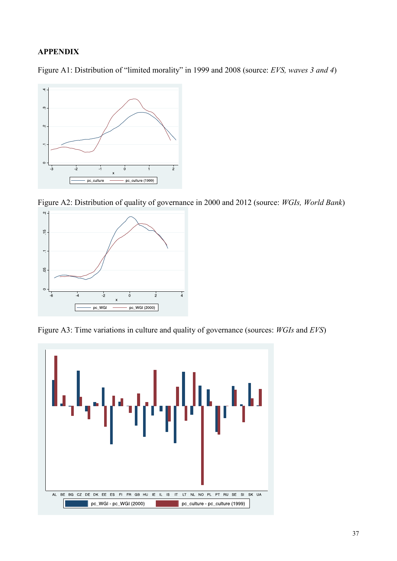### **APPENDIX**

Figure A1: Distribution of "limited morality" in 1999 and 2008 (source: *EVS, waves 3 and 4*)



Figure A2: Distribution of quality of governance in 2000 and 2012 (source: *WGIs, World Bank*)



Figure A3: Time variations in culture and quality of governance (sources: *WGIs* and *EVS*)